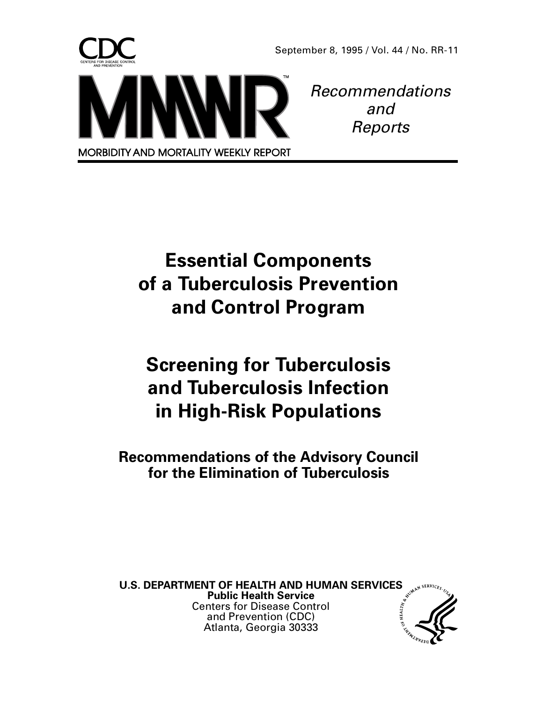

Recommendations and Reports

# **Essential Components of a Tuberculosis Prevention and Control Program**

# **Screening for Tuberculosis and Tuberculosis Infection in High-Risk Populations**

**Recommendations of the Advisory Council for the Elimination of Tuberculosis**

**U.S. DEPARTMENT OF HEALTH AND HUMAN SERVICES**<br>Public Health Service<br>Centers for Discoss C **Public Health Service** Centers for Disease Control and Prevention (CDC) Atlanta, Georgia 30333

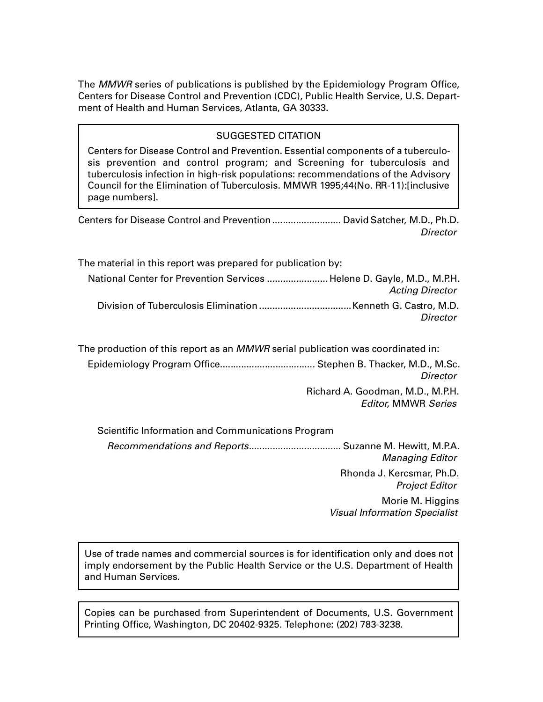The *MMWR* series of publications is published by the Epidemiology Program Office, Centers for Disease Control and Prevention (CDC), Public Health Service, U.S. Department of Health and Human Services, Atlanta, GA 30333.

### SUGGESTED CITATION

Centers for Disease Control and Prevention. Essential components of a tuberculosis prevention and control program; and Screening for tuberculosis and tuberculosis infection in high-risk populations: recommendations of the Advisory Council for the Elimination of Tuberculosis. MMWR 1995;44(No. RR-11):[inclusive page numbers].

Centers for Disease Control and Prevention.......................... David Satcher, M.D., Ph.D. **Director** 

| The material in this report was prepared for publication by:           |                        |
|------------------------------------------------------------------------|------------------------|
| National Center for Prevention Services  Helene D. Gayle, M.D., M.P.H. |                        |
|                                                                        | <b>Acting Director</b> |
|                                                                        |                        |
|                                                                        | Director               |
|                                                                        |                        |

The production of this report as an *MMWR* serial publication was coordinated in: Epidemiology Program Office.................................... Stephen B. Thacker, M.D., M.Sc. **Director** Richard A. Goodman, M.D., M.P.H. Editor, MMWR Series

 Scientific Information and Communications Program Recommendations and Reports................................... Suzanne M. Hewitt, M.P.A. Managing Editor Rhonda J. Kercsmar, Ph.D. Project Editor Morie M. Higgins Visual Information Specialist

Use of trade names and commercial sources is for identification only and does not imply endorsement by the Public Health Service or the U.S. Department of Health and Human Services.

Copies can be purchased from Superintendent of Documents, U.S. Government Printing Office, Washington, DC 20402-9325. Telephone: (202) 783-3238.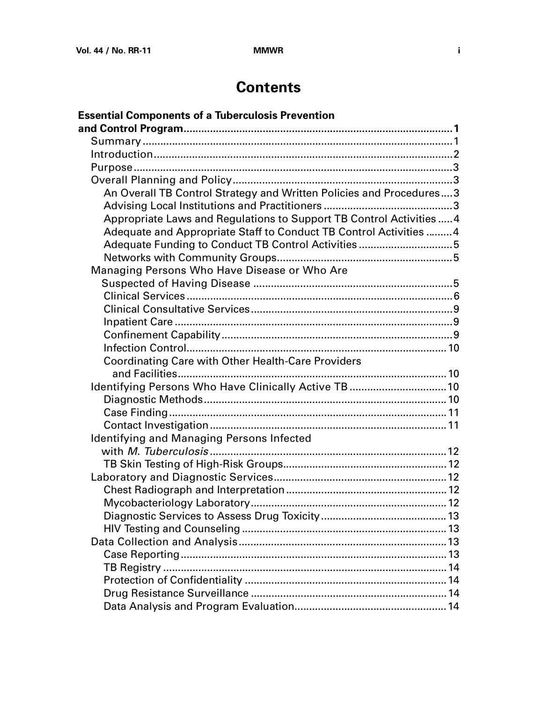# **Contents**

| <b>Essential Components of a Tuberculosis Prevention</b>             |  |
|----------------------------------------------------------------------|--|
|                                                                      |  |
|                                                                      |  |
|                                                                      |  |
|                                                                      |  |
|                                                                      |  |
| An Overall TB Control Strategy and Written Policies and Procedures3  |  |
|                                                                      |  |
| Appropriate Laws and Regulations to Support TB Control Activities  4 |  |
| Adequate and Appropriate Staff to Conduct TB Control Activities  4   |  |
| Adequate Funding to Conduct TB Control Activities 5                  |  |
|                                                                      |  |
| Managing Persons Who Have Disease or Who Are                         |  |
|                                                                      |  |
|                                                                      |  |
|                                                                      |  |
|                                                                      |  |
|                                                                      |  |
|                                                                      |  |
| <b>Coordinating Care with Other Health-Care Providers</b>            |  |
|                                                                      |  |
| Identifying Persons Who Have Clinically Active TB  10                |  |
|                                                                      |  |
|                                                                      |  |
|                                                                      |  |
| Identifying and Managing Persons Infected                            |  |
|                                                                      |  |
|                                                                      |  |
|                                                                      |  |
|                                                                      |  |
|                                                                      |  |
|                                                                      |  |
|                                                                      |  |
|                                                                      |  |
|                                                                      |  |
|                                                                      |  |
|                                                                      |  |
|                                                                      |  |
|                                                                      |  |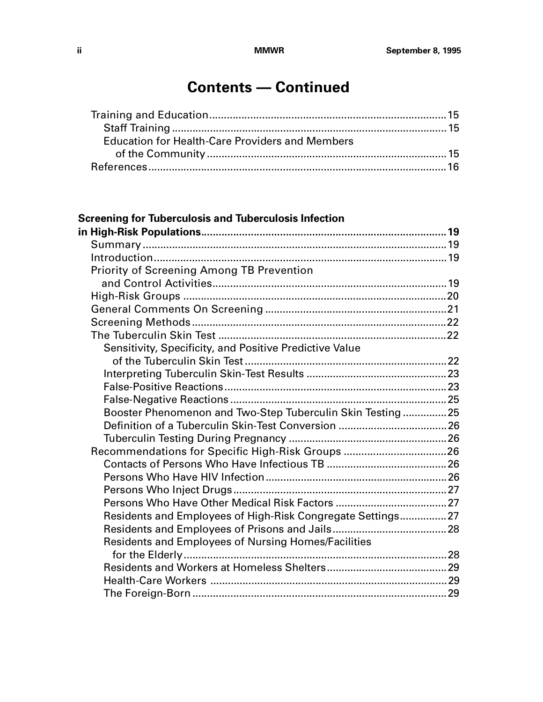# **Contents — Continued**

| <b>Education for Health-Care Providers and Members</b> |  |
|--------------------------------------------------------|--|
|                                                        |  |
|                                                        |  |

| <b>Screening for Tuberculosis and Tuberculosis Infection</b> |  |
|--------------------------------------------------------------|--|
|                                                              |  |
|                                                              |  |
|                                                              |  |
| <b>Priority of Screening Among TB Prevention</b>             |  |
|                                                              |  |
|                                                              |  |
|                                                              |  |
|                                                              |  |
|                                                              |  |
| Sensitivity, Specificity, and Positive Predictive Value      |  |
|                                                              |  |
|                                                              |  |
|                                                              |  |
|                                                              |  |
| Booster Phenomenon and Two-Step Tuberculin Skin Testing 25   |  |
|                                                              |  |
|                                                              |  |
| Recommendations for Specific High-Risk Groups 26             |  |
|                                                              |  |
|                                                              |  |
|                                                              |  |
|                                                              |  |
| Residents and Employees of High-Risk Congregate Settings 27  |  |
|                                                              |  |
| Residents and Employees of Nursing Homes/Facilities          |  |
|                                                              |  |
|                                                              |  |
|                                                              |  |
|                                                              |  |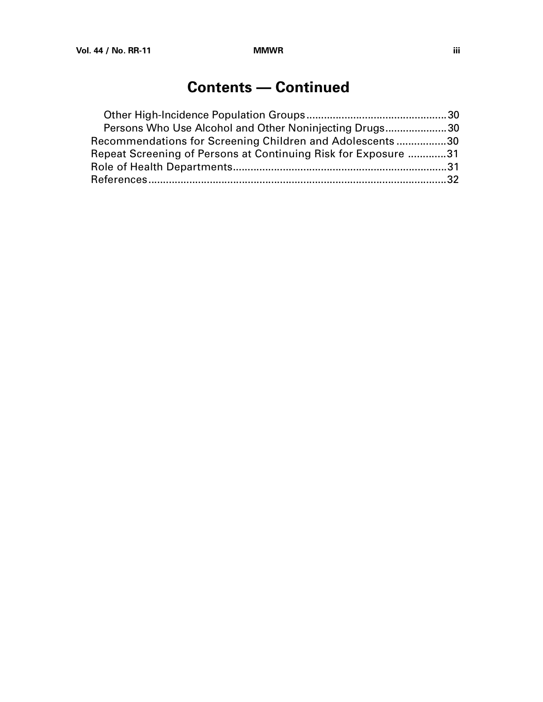# **Contents — Continued**

| Persons Who Use Alcohol and Other Noninjecting Drugs30         |  |
|----------------------------------------------------------------|--|
| Recommendations for Screening Children and Adolescents30       |  |
| Repeat Screening of Persons at Continuing Risk for Exposure 31 |  |
|                                                                |  |
|                                                                |  |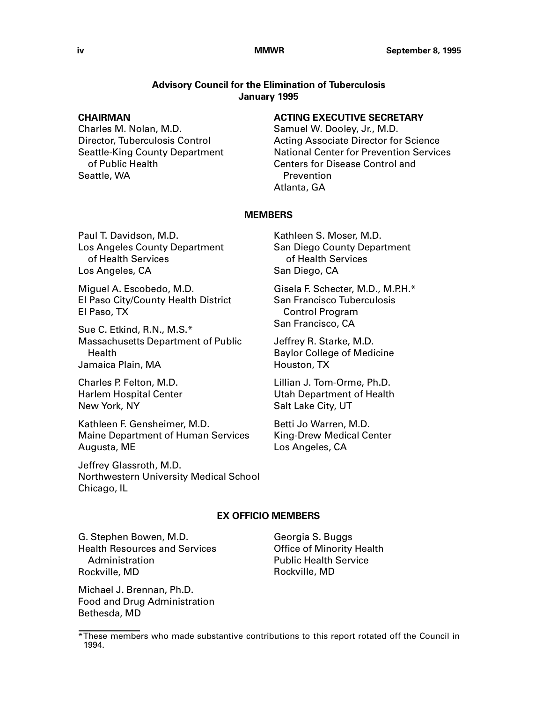#### **Advisory Council for the Elimination of Tuberculosis January 1995**

### **CHAIRMAN**

Charles M. Nolan, M.D. Director, Tuberculosis Control Seattle-King County Department of Public Health Seattle, WA

### **ACTING EXECUTIVE SECRETARY**

Samuel W. Dooley, Jr., M.D. Acting Associate Director for Science National Center for Prevention Services Centers for Disease Control and Prevention Atlanta, GA

#### **MEMBERS**

Paul T. Davidson, M.D. Los Angeles County Department of Health Services Los Angeles, CA

Miguel A. Escobedo, M.D. El Paso City/County Health District El Paso, TX

Sue C. Etkind, R.N., M.S.\* Massachusetts Department of Public Health Jamaica Plain, MA

Charles P. Felton, M.D. Harlem Hospital Center New York, NY

Kathleen F. Gensheimer, M.D. Maine Department of Human Services Augusta, ME

Jeffrey Glassroth, M.D. Northwestern University Medical School Chicago, IL

Kathleen S. Moser, M.D. San Diego County Department of Health Services San Diego, CA

Gisela F. Schecter, M.D., M.P.H.\* San Francisco Tuberculosis Control Program San Francisco, CA

Jeffrey R. Starke, M.D. Baylor College of Medicine Houston, TX

Lillian J. Tom-Orme, Ph.D. Utah Department of Health Salt Lake City, UT

Betti Jo Warren, M.D. King-Drew Medical Center Los Angeles, CA

#### **EX OFFICIO MEMBERS**

G. Stephen Bowen, M.D. Health Resources and Services Administration Rockville, MD

Office of Minority Health Public Health Service Rockville, MD

Georgia S. Buggs

Michael J. Brennan, Ph.D. Food and Drug Administration Bethesda, MD

<sup>\*</sup>These members who made substantive contributions to this report rotated off the Council in 1994.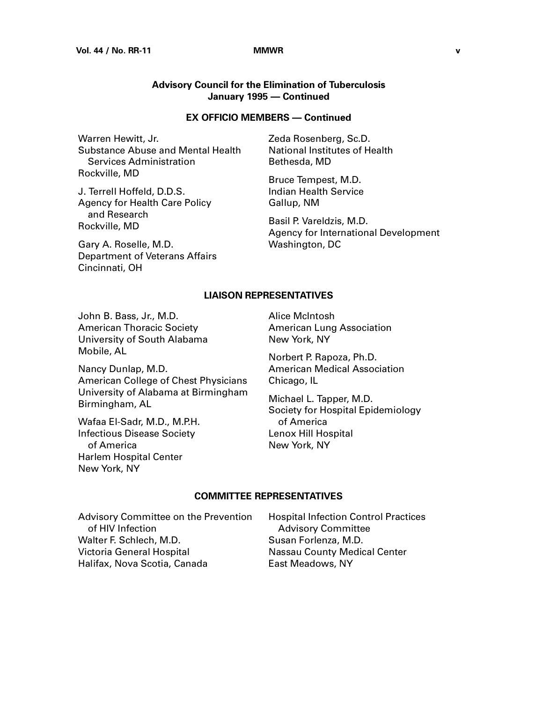#### **Advisory Council for the Elimination of Tuberculosis January 1995 — Continued**

#### **EX OFFICIO MEMBERS — Continued**

Warren Hewitt, Jr. Substance Abuse and Mental Health Services Administration Rockville, MD

J. Terrell Hoffeld, D.D.S. Agency for Health Care Policy and Research Rockville, MD

Gary A. Roselle, M.D. Department of Veterans Affairs Cincinnati, OH

Zeda Rosenberg, Sc.D. National Institutes of Health Bethesda, MD

Bruce Tempest, M.D. Indian Health Service Gallup, NM

Basil P. Vareldzis, M.D. Agency for International Development Washington, DC

#### **LIAISON REPRESENTATIVES**

John B. Bass, Jr., M.D. American Thoracic Society University of South Alabama Mobile, AL

Nancy Dunlap, M.D. American College of Chest Physicians University of Alabama at Birmingham Birmingham, AL

Wafaa El-Sadr, M.D., M.P.H. Infectious Disease Society of America Harlem Hospital Center New York, NY

Alice McIntosh American Lung Association New York, NY

Norbert P. Rapoza, Ph.D. American Medical Association Chicago, IL

Michael L. Tapper, M.D. Society for Hospital Epidemiology of America Lenox Hill Hospital New York, NY

#### **COMMITTEE REPRESENTATIVES**

Advisory Committee on the Prevention of HIV Infection Walter F. Schlech, M.D. Victoria General Hospital Halifax, Nova Scotia, Canada

Hospital Infection Control Practices Advisory Committee Susan Forlenza, M.D. Nassau County Medical Center East Meadows, NY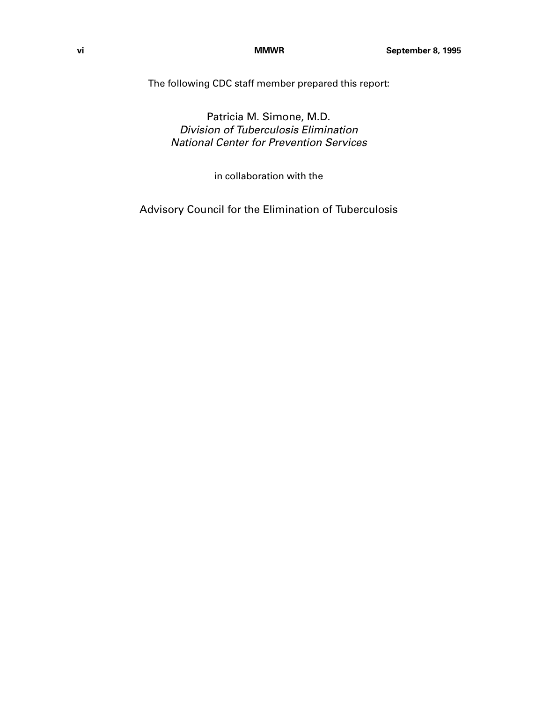The following CDC staff member prepared this report:

Patricia M. Simone, M.D. Division of Tuberculosis Elimination National Center for Prevention Services

in collaboration with the

Advisory Council for the Elimination of Tuberculosis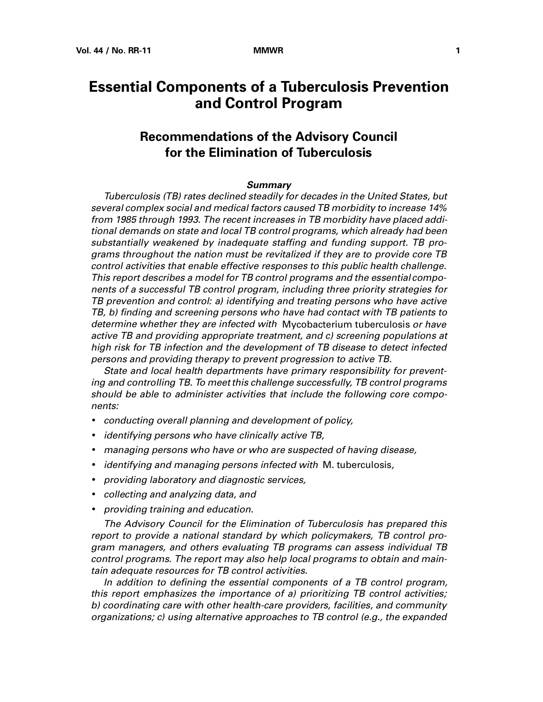# <span id="page-8-1"></span><span id="page-8-0"></span>**Recommendations of the Advisory Council for the Elimination of Tuberculosis**

#### **Summary**

Tuberculosis (TB) rates declined steadily for decades in the United States, but several complex social and medical factors caused TB morbidity to increase 14% from 1985 through 1993. The recent increases in TB morbidity have placed additional demands on state and local TB control programs, which already had been substantially weakened by inadequate staffing and funding support. TB programs throughout the nation must be revitalized if they are to provide core TB control activities that enable effective responses to this public health challenge. This report describes a model for TB control programs and the essential components of a successful TB control program, including three priority strategies for TB prevention and control: a) identifying and treating persons who have active TB, b) finding and screening persons who have had contact with TB patients to determine whether they are infected with Mycobacterium tuberculosis or have active TB and providing appropriate treatment, and c) screening populations at high risk for TB infection and the development of TB disease to detect infected persons and providing therapy to prevent progression to active TB.

State and local health departments have primary responsibility for preventing and controlling TB. To meet this challenge successfully, TB control programs should be able to administer activities that include the following core components:

- conducting overall planning and development of policy,
- identifying persons who have clinically active TB,
- managing persons who have or who are suspected of having disease,
- identifying and managing persons infected with M. tuberculosis,
- providing laboratory and diagnostic services,
- collecting and analyzing data, and
- providing training and education.

The Advisory Council for the Elimination of Tuberculosis has prepared this report to provide a national standard by which policymakers, TB control program managers, and others evaluating TB programs can assess individual TB control programs. The report may also help local programs to obtain and maintain adequate resources for TB control activities.

In addition to defining the essential components of a TB control program, this report emphasizes the importance of a) prioritizing TB control activities; b) coordinating care with other health-care providers, facilities, and community organizations; c) using alternative approaches to TB control (e.g., the expanded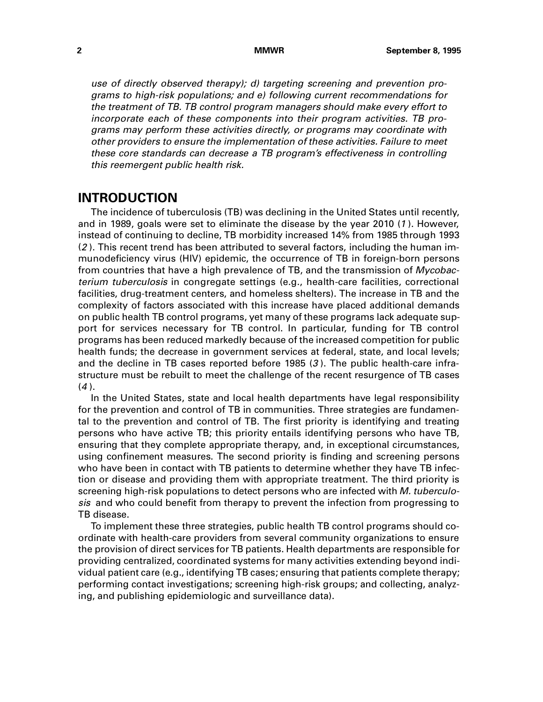<span id="page-9-0"></span>

use of directly observed therapy); d) targeting screening and prevention programs to high-risk populations; and e) following current recommendations for the treatment of TB. TB control program managers should make every effort to incorporate each of these components into their program activities. TB programs may perform these activities directly, or programs may coordinate with other providers to ensure the implementation of these activities. Failure to meet these core standards can decrease a TB program's effectiveness in controlling this reemergent public health risk.

# **INTRODUCTION**

The incidence of tuberculosis (TB) was declining in the United States until recently, and in 1989, goals were set to eliminate the disease by the year 2010 (1 ). However, instead of continuing to decline, TB morbidity increased 14% from 1985 through 1993 (2 ). This recent trend has been attributed to several factors, including the human immunodeficiency virus (HIV) epidemic, the occurrence of TB in foreign-born persons from countries that have a high prevalence of TB, and the transmission of Mycobacterium tuberculosis in congregate settings (e.g., health-care facilities, correctional facilities, drug-treatment centers, and homeless shelters). The increase in TB and the complexity of factors associated with this increase have placed additional demands on public health TB control programs, yet many of these programs lack adequate support for services necessary for TB control. In particular, funding for TB control programs has been reduced markedly because of the increased competition for public health funds; the decrease in government services at federal, state, and local levels; and the decline in TB cases reported before 1985 (3 ). The public health-care infrastructure must be rebuilt to meet the challenge of the recent resurgence of TB cases  $(4)$ .

In the United States, state and local health departments have legal responsibility for the prevention and control of TB in communities. Three strategies are fundamental to the prevention and control of TB. The first priority is identifying and treating persons who have active TB; this priority entails identifying persons who have TB, ensuring that they complete appropriate therapy, and, in exceptional circumstances, using confinement measures. The second priority is finding and screening persons who have been in contact with TB patients to determine whether they have TB infection or disease and providing them with appropriate treatment. The third priority is screening high-risk populations to detect persons who are infected with M. tuberculosis and who could benefit from therapy to prevent the infection from progressing to TB disease.

To implement these three strategies, public health TB control programs should coordinate with health-care providers from several community organizations to ensure the provision of direct services for TB patients. Health departments are responsible for providing centralized, coordinated systems for many activities extending beyond individual patient care (e.g., identifying TB cases; ensuring that patients complete therapy; performing contact investigations; screening high-risk groups; and collecting, analyzing, and publishing epidemiologic and surveillance data).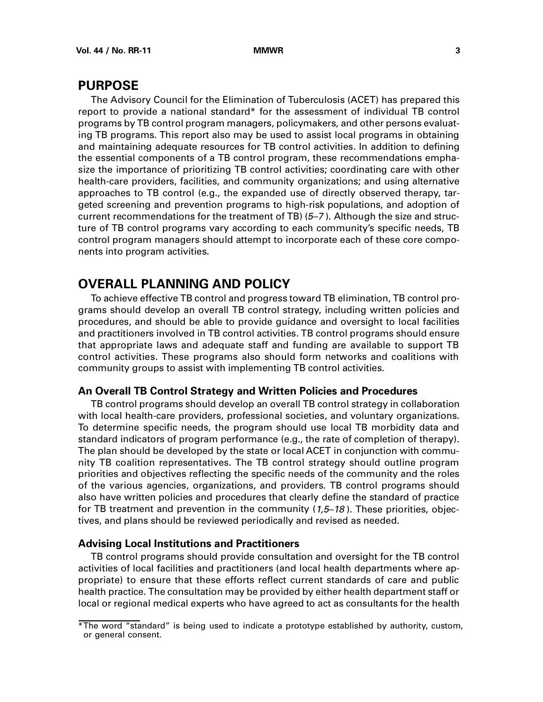## <span id="page-10-0"></span>**PURPOSE**

The Advisory Council for the Elimination of Tuberculosis (ACET) has prepared this report to provide a national standard\* for the assessment of individual TB control programs by TB control program managers, policymakers, and other persons evaluating TB programs. This report also may be used to assist local programs in obtaining and maintaining adequate resources for TB control activities. In addition to defining the essential components of a TB control program, these recommendations emphasize the importance of prioritizing TB control activities; coordinating care with other health-care providers, facilities, and community organizations; and using alternative approaches to TB control (e.g., the expanded use of directly observed therapy, targeted screening and prevention programs to high-risk populations, and adoption of current recommendations for the treatment of TB) (5–7 ). Although the size and structure of TB control programs vary according to each community's specific needs, TB control program managers should attempt to incorporate each of these core components into program activities.

# **OVERALL PLANNING AND POLICY**

To achieve effective TB control and progress toward TB elimination, TB control programs should develop an overall TB control strategy, including written policies and procedures, and should be able to provide guidance and oversight to local facilities and practitioners involved in TB control activities. TB control programs should ensure that appropriate laws and adequate staff and funding are available to support TB control activities. These programs also should form networks and coalitions with community groups to assist with implementing TB control activities.

### **An Overall TB Control Strategy and Written Policies and Procedures**

TB control programs should develop an overall TB control strategy in collaboration with local health-care providers, professional societies, and voluntary organizations. To determine specific needs, the program should use local TB morbidity data and standard indicators of program performance (e.g., the rate of completion of therapy). The plan should be developed by the state or local ACET in conjunction with community TB coalition representatives. The TB control strategy should outline program priorities and objectives reflecting the specific needs of the community and the roles of the various agencies, organizations, and providers. TB control programs should also have written policies and procedures that clearly define the standard of practice for TB treatment and prevention in the community  $(1.5-18)$ . These priorities, objectives, and plans should be reviewed periodically and revised as needed.

### **Advising Local Institutions and Practitioners**

TB control programs should provide consultation and oversight for the TB control activities of local facilities and practitioners (and local health departments where appropriate) to ensure that these efforts reflect current standards of care and public health practice. The consultation may be provided by either health department staff or local or regional medical experts who have agreed to act as consultants for the health

<sup>\*</sup>The word "standard" is being used to indicate a prototype established by authority, custom, or general consent.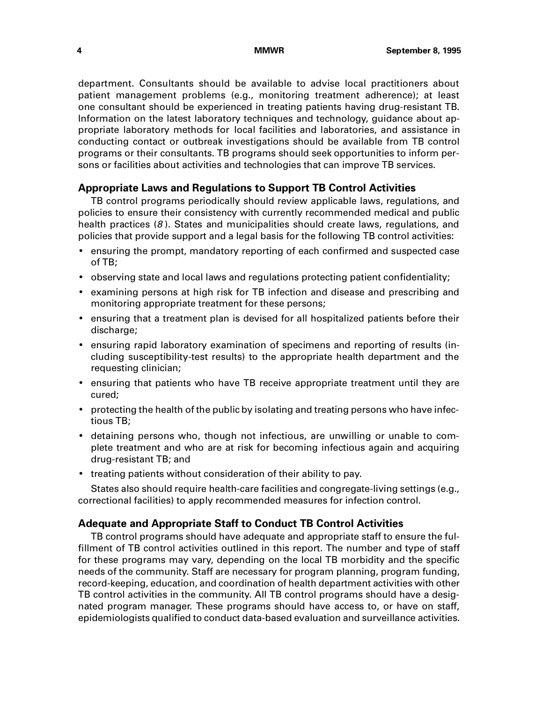<span id="page-11-0"></span>

department. Consultants should be available to advise local practitioners about patient management problems (e.g., monitoring treatment adherence); at least one consultant should be experienced in treating patients having drug-resistant TB. Information on the latest laboratory techniques and technology, guidance about appropriate laboratory methods for local facilities and laboratories, and assistance in conducting contact or outbreak investigations should be available from TB control programs or their consultants. TB programs should seek opportunities to inform persons or facilities about activities and technologies that can improve TB services.

### **Appropriate Laws and Regulations to Support TB Control Activities**

TB control programs periodically should review applicable laws, regulations, and policies to ensure their consistency with currently recommended medical and public health practices (8). States and municipalities should create laws, regulations, and policies that provide support and a legal basis for the following TB control activities:

- ensuring the prompt, mandatory reporting of each confirmed and suspected case of TB;
- observing state and local laws and regulations protecting patient confidentiality;
- examining persons at high risk for TB infection and disease and prescribing and monitoring appropriate treatment for these persons;
- ensuring that a treatment plan is devised for all hospitalized patients before their discharge;
- ensuring rapid laboratory examination of specimens and reporting of results (including susceptibility-test results) to the appropriate health department and the requesting clinician;
- ensuring that patients who have TB receive appropriate treatment until they are cured;
- protecting the health of the public by isolating and treating persons who have infectious TB;
- detaining persons who, though not infectious, are unwilling or unable to complete treatment and who are at risk for becoming infectious again and acquiring drug-resistant TB; and
- treating patients without consideration of their ability to pay.

States also should require health-care facilities and congregate-living settings (e.g., correctional facilities) to apply recommended measures for infection control.

### **Adequate and Appropriate Staff to Conduct TB Control Activities**

TB control programs should have adequate and appropriate staff to ensure the fulfillment of TB control activities outlined in this report. The number and type of staff for these programs may vary, depending on the local TB morbidity and the specific needs of the community. Staff are necessary for program planning, program funding, record-keeping, education, and coordination of health department activities with other TB control activities in the community. All TB control programs should have a designated program manager. These programs should have access to, or have on staff, epidemiologists qualified to conduct data-based evaluation and surveillance activities.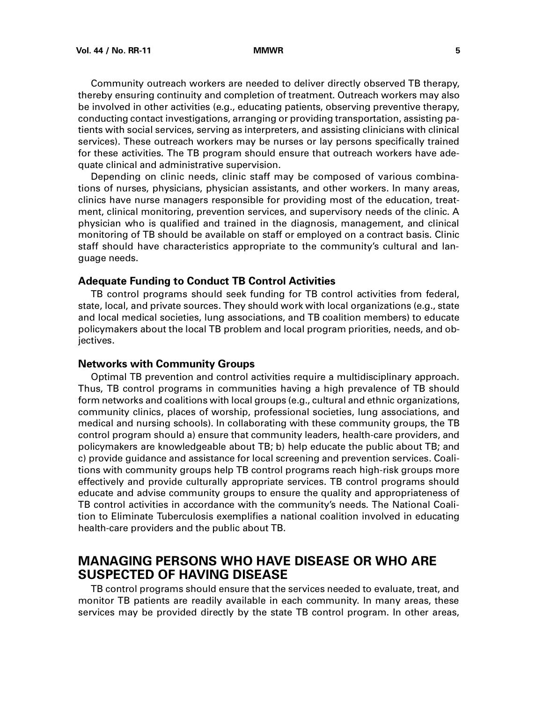<span id="page-12-0"></span>Community outreach workers are needed to deliver directly observed TB therapy, thereby ensuring continuity and completion of treatment. Outreach workers may also be involved in other activities (e.g., educating patients, observing preventive therapy, conducting contact investigations, arranging or providing transportation, assisting patients with social services, serving as interpreters, and assisting clinicians with clinical services). These outreach workers may be nurses or lay persons specifically trained for these activities. The TB program should ensure that outreach workers have adequate clinical and administrative supervision.

Depending on clinic needs, clinic staff may be composed of various combinations of nurses, physicians, physician assistants, and other workers. In many areas, clinics have nurse managers responsible for providing most of the education, treatment, clinical monitoring, prevention services, and supervisory needs of the clinic. A physician who is qualified and trained in the diagnosis, management, and clinical monitoring of TB should be available on staff or employed on a contract basis. Clinic staff should have characteristics appropriate to the community's cultural and language needs.

#### **Adequate Funding to Conduct TB Control Activities**

TB control programs should seek funding for TB control activities from federal, state, local, and private sources. They should work with local organizations (e.g., state and local medical societies, lung associations, and TB coalition members) to educate policymakers about the local TB problem and local program priorities, needs, and objectives.

#### **Networks with Community Groups**

Optimal TB prevention and control activities require a multidisciplinary approach. Thus, TB control programs in communities having a high prevalence of TB should form networks and coalitions with local groups (e.g., cultural and ethnic organizations, community clinics, places of worship, professional societies, lung associations, and medical and nursing schools). In collaborating with these community groups, the TB control program should a) ensure that community leaders, health-care providers, and policymakers are knowledgeable about TB; b) help educate the public about TB; and c) provide guidance and assistance for local screening and prevention services. Coalitions with community groups help TB control programs reach high-risk groups more effectively and provide culturally appropriate services. TB control programs should educate and advise community groups to ensure the quality and appropriateness of TB control activities in accordance with the community's needs. The National Coalition to Eliminate Tuberculosis exemplifies a national coalition involved in educating health-care providers and the public about TB.

# **MANAGING PERSONS WHO HAVE DISEASE OR WHO ARE SUSPECTED OF HAVING DISEASE**

TB control programs should ensure that the services needed to evaluate, treat, and monitor TB patients are readily available in each community. In many areas, these services may be provided directly by the state TB control program. In other areas,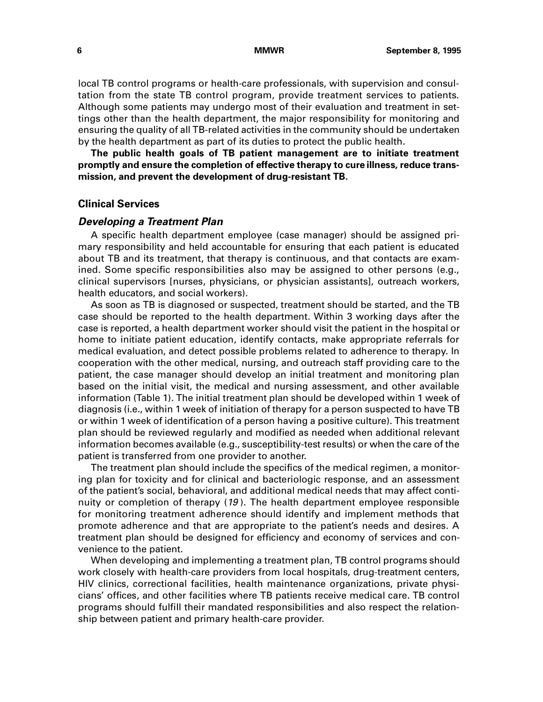<span id="page-13-0"></span>local TB control programs or health-care professionals, with supervision and consultation from the state TB control program, provide treatment services to patients. Although some patients may undergo most of their evaluation and treatment in settings other than the health department, the major responsibility for monitoring and ensuring the quality of all TB-related activities in the community should be undertaken by the health department as part of its duties to protect the public health.

**The public health goals of TB patient management are to initiate treatment promptly and ensure the completion of effective therapy to cure illness, reduce transmission, and prevent the development of drug-resistant TB.**

#### **Clinical Services**

#### **Developing a Treatment Plan**

A specific health department employee (case manager) should be assigned primary responsibility and held accountable for ensuring that each patient is educated about TB and its treatment, that therapy is continuous, and that contacts are examined. Some specific responsibilities also may be assigned to other persons (e.g., clinical supervisors [nurses, physicians, or physician assistants], outreach workers, health educators, and social workers).

As soon as TB is diagnosed or suspected, treatment should be started, and the TB case should be reported to the health department. Within 3 working days after the case is reported, a health department worker should visit the patient in the hospital or home to initiate patient education, identify contacts, make appropriate referrals for medical evaluation, and detect possible problems related to adherence to therapy. In cooperation with the other medical, nursing, and outreach staff providing care to the patient, the case manager should develop an initial treatment and monitoring plan based on the initial visit, the medical and nursing assessment, and other available information (Table 1). The initial treatment plan should be developed within 1 week of diagnosis (i.e., within 1 week of initiation of therapy for a person suspected to have TB or within 1 week of identification of a person having a positive culture). This treatment plan should be reviewed regularly and modified as needed when additional relevant information becomes available (e.g., susceptibility-test results) or when the care of the patient is transferred from one provider to another.

The treatment plan should include the specifics of the medical regimen, a monitoring plan for toxicity and for clinical and bacteriologic response, and an assessment of the patient's social, behavioral, and additional medical needs that may affect continuity or completion of therapy  $(19)$ . The health department employee responsible for monitoring treatment adherence should identify and implement methods that promote adherence and that are appropriate to the patient's needs and desires. A treatment plan should be designed for efficiency and economy of services and convenience to the patient.

When developing and implementing a treatment plan, TB control programs should work closely with health-care providers from local hospitals, drug-treatment centers, HIV clinics, correctional facilities, health maintenance organizations, private physicians' offices, and other facilities where TB patients receive medical care. TB control programs should fulfill their mandated responsibilities and also respect the relationship between patient and primary health-care provider.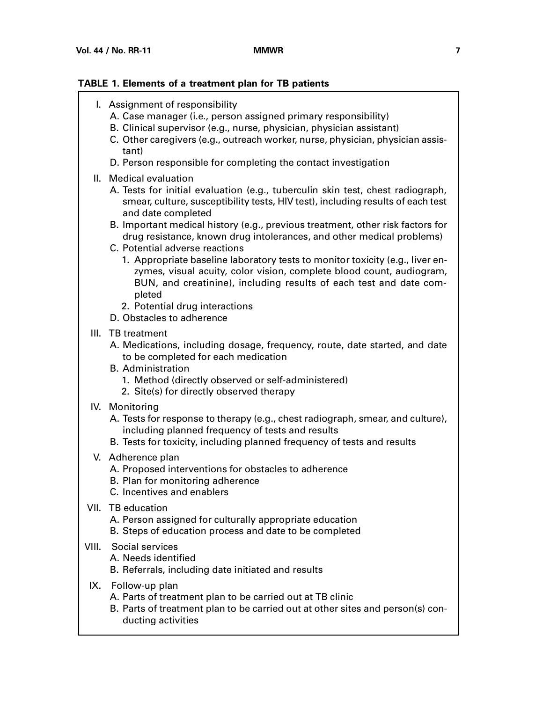### **TABLE 1. Elements of a treatment plan for TB patients**

- I. Assignment of responsibility
	- A. Case manager (i.e., person assigned primary responsibility)
	- B. Clinical supervisor (e.g., nurse, physician, physician assistant)
	- C. Other caregivers (e.g., outreach worker, nurse, physician, physician assistant)
	- D. Person responsible for completing the contact investigation
- II. Medical evaluation
	- A. Tests for initial evaluation (e.g., tuberculin skin test, chest radiograph, smear, culture, susceptibility tests, HIV test), including results of each test and date completed
	- B. Important medical history (e.g., previous treatment, other risk factors for drug resistance, known drug intolerances, and other medical problems)
	- C. Potential adverse reactions
		- 1. Appropriate baseline laboratory tests to monitor toxicity (e.g., liver enzymes, visual acuity, color vision, complete blood count, audiogram, BUN, and creatinine), including results of each test and date completed
		- 2. Potential drug interactions
	- D. Obstacles to adherence
- III. TB treatment
	- A. Medications, including dosage, frequency, route, date started, and date to be completed for each medication
	- B. Administration
		- 1. Method (directly observed or self-administered)
		- 2. Site(s) for directly observed therapy
- IV. Monitoring
	- A. Tests for response to therapy (e.g., chest radiograph, smear, and culture), including planned frequency of tests and results
	- B. Tests for toxicity, including planned frequency of tests and results
- V. Adherence plan
	- A. Proposed interventions for obstacles to adherence
	- B. Plan for monitoring adherence
	- C. Incentives and enablers
- VII. TB education
	- A. Person assigned for culturally appropriate education
	- B. Steps of education process and date to be completed
- VIII. Social services
	- A. Needs identified
	- B. Referrals, including date initiated and results
- IX. Follow-up plan
	- A. Parts of treatment plan to be carried out at TB clinic
	- B. Parts of treatment plan to be carried out at other sites and person(s) conducting activities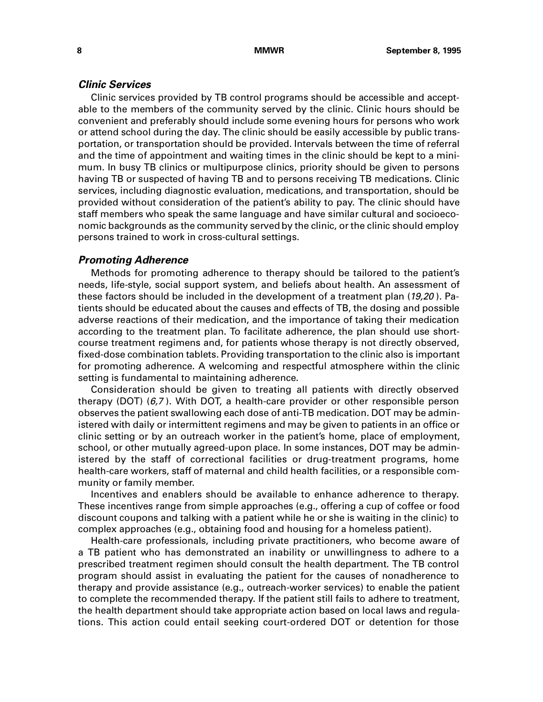### **Clinic Services**

Clinic services provided by TB control programs should be accessible and acceptable to the members of the community served by the clinic. Clinic hours should be convenient and preferably should include some evening hours for persons who work or attend school during the day. The clinic should be easily accessible by public transportation, or transportation should be provided. Intervals between the time of referral and the time of appointment and waiting times in the clinic should be kept to a minimum. In busy TB clinics or multipurpose clinics, priority should be given to persons having TB or suspected of having TB and to persons receiving TB medications. Clinic services, including diagnostic evaluation, medications, and transportation, should be provided without consideration of the patient's ability to pay. The clinic should have staff members who speak the same language and have similar cultural and socioeconomic backgrounds as the community served by the clinic, or the clinic should employ persons trained to work in cross-cultural settings.

#### **Promoting Adherence**

Methods for promoting adherence to therapy should be tailored to the patient's needs, life-style, social support system, and beliefs about health. An assessment of these factors should be included in the development of a treatment plan (19,20). Patients should be educated about the causes and effects of TB, the dosing and possible adverse reactions of their medication, and the importance of taking their medication according to the treatment plan. To facilitate adherence, the plan should use shortcourse treatment regimens and, for patients whose therapy is not directly observed, fixed-dose combination tablets. Providing transportation to the clinic also is important for promoting adherence. A welcoming and respectful atmosphere within the clinic setting is fundamental to maintaining adherence.

Consideration should be given to treating all patients with directly observed therapy (DOT)  $(6,7)$ . With DOT, a health-care provider or other responsible person observes the patient swallowing each dose of anti-TB medication. DOT may be administered with daily or intermittent regimens and may be given to patients in an office or clinic setting or by an outreach worker in the patient's home, place of employment, school, or other mutually agreed-upon place. In some instances, DOT may be administered by the staff of correctional facilities or drug-treatment programs, home health-care workers, staff of maternal and child health facilities, or a responsible community or family member.

Incentives and enablers should be available to enhance adherence to therapy. These incentives range from simple approaches (e.g., offering a cup of coffee or food discount coupons and talking with a patient while he or she is waiting in the clinic) to complex approaches (e.g., obtaining food and housing for a homeless patient).

Health-care professionals, including private practitioners, who become aware of a TB patient who has demonstrated an inability or unwillingness to adhere to a prescribed treatment regimen should consult the health department. The TB control program should assist in evaluating the patient for the causes of nonadherence to therapy and provide assistance (e.g., outreach-worker services) to enable the patient to complete the recommended therapy. If the patient still fails to adhere to treatment, the health department should take appropriate action based on local laws and regulations. This action could entail seeking court-ordered DOT or detention for those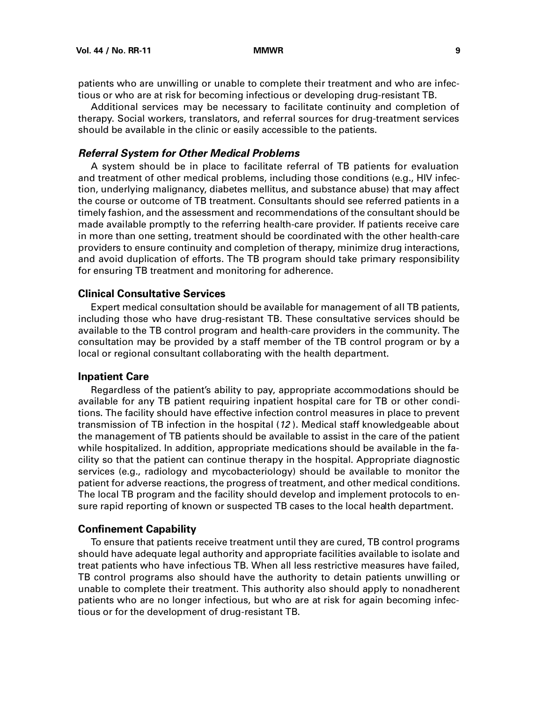<span id="page-16-0"></span>patients who are unwilling or unable to complete their treatment and who are infectious or who are at risk for becoming infectious or developing drug-resistant TB.

Additional services may be necessary to facilitate continuity and completion of therapy. Social workers, translators, and referral sources for drug-treatment services should be available in the clinic or easily accessible to the patients.

#### **Referral System for Other Medical Problems**

A system should be in place to facilitate referral of TB patients for evaluation and treatment of other medical problems, including those conditions (e.g., HIV infection, underlying malignancy, diabetes mellitus, and substance abuse) that may affect the course or outcome of TB treatment. Consultants should see referred patients in a timely fashion, and the assessment and recommendations of the consultant should be made available promptly to the referring health-care provider. If patients receive care in more than one setting, treatment should be coordinated with the other health-care providers to ensure continuity and completion of therapy, minimize drug interactions, and avoid duplication of efforts. The TB program should take primary responsibility for ensuring TB treatment and monitoring for adherence.

#### **Clinical Consultative Services**

Expert medical consultation should be available for management of all TB patients, including those who have drug-resistant TB. These consultative services should be available to the TB control program and health-care providers in the community. The consultation may be provided by a staff member of the TB control program or by a local or regional consultant collaborating with the health department.

#### **Inpatient Care**

Regardless of the patient's ability to pay, appropriate accommodations should be available for any TB patient requiring inpatient hospital care for TB or other conditions. The facility should have effective infection control measures in place to prevent transmission of TB infection in the hospital (12 ). Medical staff knowledgeable about the management of TB patients should be available to assist in the care of the patient while hospitalized. In addition, appropriate medications should be available in the facility so that the patient can continue therapy in the hospital. Appropriate diagnostic services (e.g., radiology and mycobacteriology) should be available to monitor the patient for adverse reactions, the progress of treatment, and other medical conditions. The local TB program and the facility should develop and implement protocols to ensure rapid reporting of known or suspected TB cases to the local health department.

#### **Confinement Capability**

To ensure that patients receive treatment until they are cured, TB control programs should have adequate legal authority and appropriate facilities available to isolate and treat patients who have infectious TB. When all less restrictive measures have failed, TB control programs also should have the authority to detain patients unwilling or unable to complete their treatment. This authority also should apply to nonadherent patients who are no longer infectious, but who are at risk for again becoming infectious or for the development of drug-resistant TB.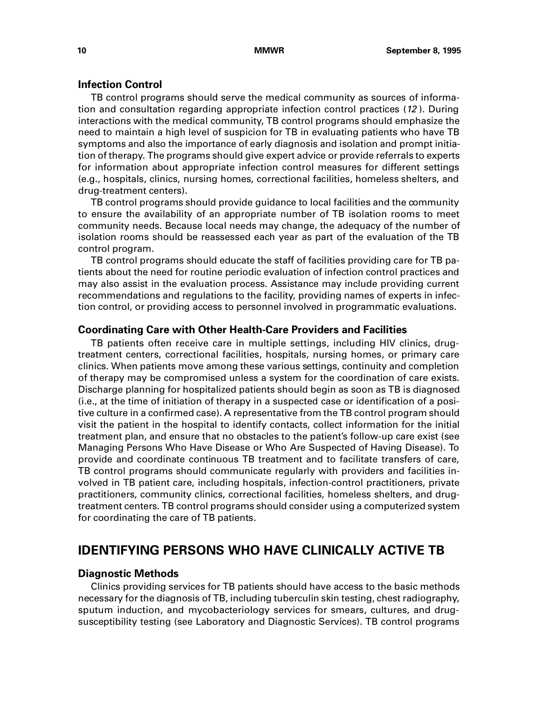#### <span id="page-17-0"></span>**Infection Control**

TB control programs should serve the medical community as sources of information and consultation regarding appropriate infection control practices (12 ). During interactions with the medical community, TB control programs should emphasize the need to maintain a high level of suspicion for TB in evaluating patients who have TB symptoms and also the importance of early diagnosis and isolation and prompt initiation of therapy. The programs should give expert advice or provide referrals to experts for information about appropriate infection control measures for different settings (e.g., hospitals, clinics, nursing homes, correctional facilities, homeless shelters, and drug-treatment centers).

TB control programs should provide guidance to local facilities and the community to ensure the availability of an appropriate number of TB isolation rooms to meet community needs. Because local needs may change, the adequacy of the number of isolation rooms should be reassessed each year as part of the evaluation of the TB control program.

TB control programs should educate the staff of facilities providing care for TB patients about the need for routine periodic evaluation of infection control practices and may also assist in the evaluation process. Assistance may include providing current recommendations and regulations to the facility, providing names of experts in infection control, or providing access to personnel involved in programmatic evaluations.

#### **Coordinating Care with Other Health-Care Providers and Facilities**

TB patients often receive care in multiple settings, including HIV clinics, drugtreatment centers, correctional facilities, hospitals, nursing homes, or primary care clinics. When patients move among these various settings, continuity and completion of therapy may be compromised unless a system for the coordination of care exists. Discharge planning for hospitalized patients should begin as soon as TB is diagnosed (i.e., at the time of initiation of therapy in a suspected case or identification of a positive culture in a confirmed case). A representative from the TB control program should visit the patient in the hospital to identify contacts, collect information for the initial treatment plan, and ensure that no obstacles to the patient's follow-up care exist (see Managing Persons Who Have Disease or Who Are Suspected of Having Disease). To provide and coordinate continuous TB treatment and to facilitate transfers of care, TB control programs should communicate regularly with providers and facilities involved in TB patient care, including hospitals, infection-control practitioners, private practitioners, community clinics, correctional facilities, homeless shelters, and drugtreatment centers. TB control programs should consider using a computerized system for coordinating the care of TB patients.

# **IDENTIFYING PERSONS WHO HAVE CLINICALLY ACTIVE TB**

#### **Diagnostic Methods**

Clinics providing services for TB patients should have access to the basic methods necessary for the diagnosis of TB, including tuberculin skin testing, chest radiography, sputum induction, and mycobacteriology services for smears, cultures, and drugsusceptibility testing (see Laboratory and Diagnostic Services). TB control programs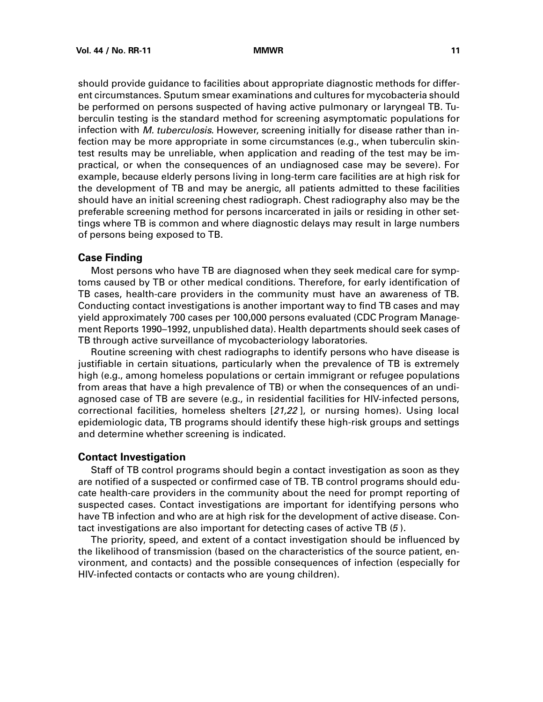<span id="page-18-0"></span>should provide guidance to facilities about appropriate diagnostic methods for different circumstances. Sputum smear examinations and cultures for mycobacteria should be performed on persons suspected of having active pulmonary or laryngeal TB. Tuberculin testing is the standard method for screening asymptomatic populations for infection with *M. tuberculosis*. However, screening initially for disease rather than infection may be more appropriate in some circumstances (e.g., when tuberculin skintest results may be unreliable, when application and reading of the test may be impractical, or when the consequences of an undiagnosed case may be severe). For example, because elderly persons living in long-term care facilities are at high risk for the development of TB and may be anergic, all patients admitted to these facilities should have an initial screening chest radiograph. Chest radiography also may be the preferable screening method for persons incarcerated in jails or residing in other settings where TB is common and where diagnostic delays may result in large numbers of persons being exposed to TB.

#### **Case Finding**

Most persons who have TB are diagnosed when they seek medical care for symptoms caused by TB or other medical conditions. Therefore, for early identification of TB cases, health-care providers in the community must have an awareness of TB. Conducting contact investigations is another important way to find TB cases and may yield approximately 700 cases per 100,000 persons evaluated (CDC Program Management Reports 1990–1992, unpublished data). Health departments should seek cases of TB through active surveillance of mycobacteriology laboratories.

Routine screening with chest radiographs to identify persons who have disease is justifiable in certain situations, particularly when the prevalence of TB is extremely high (e.g., among homeless populations or certain immigrant or refugee populations from areas that have a high prevalence of TB) or when the consequences of an undiagnosed case of TB are severe (e.g., in residential facilities for HIV-infected persons, correctional facilities, homeless shelters [21,22 ], or nursing homes). Using local epidemiologic data, TB programs should identify these high-risk groups and settings and determine whether screening is indicated.

#### **Contact Investigation**

Staff of TB control programs should begin a contact investigation as soon as they are notified of a suspected or confirmed case of TB. TB control programs should educate health-care providers in the community about the need for prompt reporting of suspected cases. Contact investigations are important for identifying persons who have TB infection and who are at high risk for the development of active disease. Contact investigations are also important for detecting cases of active TB (5 ).

The priority, speed, and extent of a contact investigation should be influenced by the likelihood of transmission (based on the characteristics of the source patient, environment, and contacts) and the possible consequences of infection (especially for HIV-infected contacts or contacts who are young children).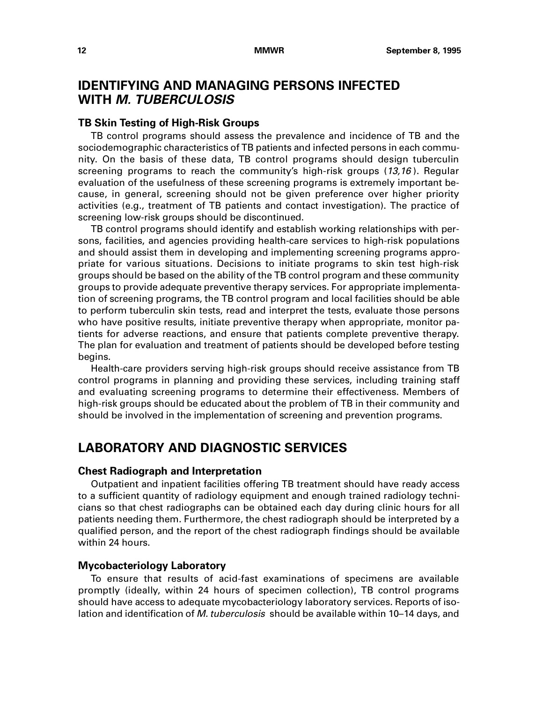# <span id="page-19-0"></span>**IDENTIFYING AND MANAGING PERSONS INFECTED WITH M. TUBERCULOSIS**

#### **TB Skin Testing of High-Risk Groups**

TB control programs should assess the prevalence and incidence of TB and the sociodemographic characteristics of TB patients and infected persons in each community. On the basis of these data, TB control programs should design tuberculin screening programs to reach the community's high-risk groups (13,16). Regular evaluation of the usefulness of these screening programs is extremely important because, in general, screening should not be given preference over higher priority activities (e.g., treatment of TB patients and contact investigation). The practice of screening low-risk groups should be discontinued.

TB control programs should identify and establish working relationships with persons, facilities, and agencies providing health-care services to high-risk populations and should assist them in developing and implementing screening programs appropriate for various situations. Decisions to initiate programs to skin test high-risk groups should be based on the ability of the TB control program and these community groups to provide adequate preventive therapy services. For appropriate implementation of screening programs, the TB control program and local facilities should be able to perform tuberculin skin tests, read and interpret the tests, evaluate those persons who have positive results, initiate preventive therapy when appropriate, monitor patients for adverse reactions, and ensure that patients complete preventive therapy. The plan for evaluation and treatment of patients should be developed before testing begins.

Health-care providers serving high-risk groups should receive assistance from TB control programs in planning and providing these services, including training staff and evaluating screening programs to determine their effectiveness. Members of high-risk groups should be educated about the problem of TB in their community and should be involved in the implementation of screening and prevention programs.

# **LABORATORY AND DIAGNOSTIC SERVICES**

#### **Chest Radiograph and Interpretation**

Outpatient and inpatient facilities offering TB treatment should have ready access to a sufficient quantity of radiology equipment and enough trained radiology technicians so that chest radiographs can be obtained each day during clinic hours for all patients needing them. Furthermore, the chest radiograph should be interpreted by a qualified person, and the report of the chest radiograph findings should be available within 24 hours.

### **Mycobacteriology Laboratory**

To ensure that results of acid-fast examinations of specimens are available promptly (ideally, within 24 hours of specimen collection), TB control programs should have access to adequate mycobacteriology laboratory services. Reports of isolation and identification of M. tuberculosis should be available within 10-14 days, and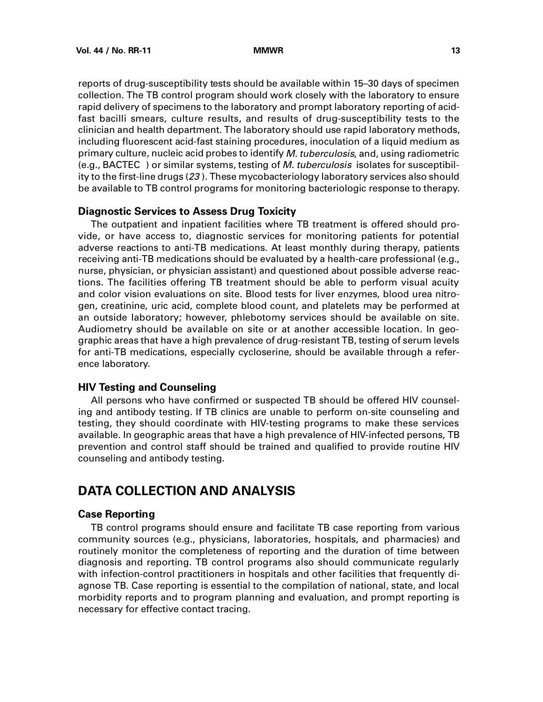<span id="page-20-0"></span>reports of drug-susceptibility tests should be available within 15–30 days of specimen collection. The TB control program should work closely with the laboratory to ensure rapid delivery of specimens to the laboratory and prompt laboratory reporting of acidfast bacilli smears, culture results, and results of drug-susceptibility tests to the clinician and health department. The laboratory should use rapid laboratory methods, including fluorescent acid-fast staining procedures, inoculation of a liquid medium as primary culture, nucleic acid probes to identify M. tuberculosis, and, using radiometric (e.g., BACTEC<sup>®</sup>) or similar systems, testing of *M. tuberculosis* isolates for susceptibility to the first-line drugs (23 ). These mycobacteriology laboratory services also should be available to TB control programs for monitoring bacteriologic response to therapy.

#### **Diagnostic Services to Assess Drug Toxicity**

The outpatient and inpatient facilities where TB treatment is offered should provide, or have access to, diagnostic services for monitoring patients for potential adverse reactions to anti-TB medications. At least monthly during therapy, patients receiving anti-TB medications should be evaluated by a health-care professional (e.g., nurse, physician, or physician assistant) and questioned about possible adverse reactions. The facilities offering TB treatment should be able to perform visual acuity and color vision evaluations on site. Blood tests for liver enzymes, blood urea nitrogen, creatinine, uric acid, complete blood count, and platelets may be performed at an outside laboratory; however, phlebotomy services should be available on site. Audiometry should be available on site or at another accessible location. In geographic areas that have a high prevalence of drug-resistant TB, testing of serum levels for anti-TB medications, especially cycloserine, should be available through a reference laboratory.

### **HIV Testing and Counseling**

All persons who have confirmed or suspected TB should be offered HIV counseling and antibody testing. If TB clinics are unable to perform on-site counseling and testing, they should coordinate with HIV-testing programs to make these services available. In geographic areas that have a high prevalence of HIV-infected persons, TB prevention and control staff should be trained and qualified to provide routine HIV counseling and antibody testing.

# **DATA COLLECTION AND ANALYSIS**

#### **Case Reporting**

TB control programs should ensure and facilitate TB case reporting from various community sources (e.g., physicians, laboratories, hospitals, and pharmacies) and routinely monitor the completeness of reporting and the duration of time between diagnosis and reporting. TB control programs also should communicate regularly with infection-control practitioners in hospitals and other facilities that frequently diagnose TB. Case reporting is essential to the compilation of national, state, and local morbidity reports and to program planning and evaluation, and prompt reporting is necessary for effective contact tracing.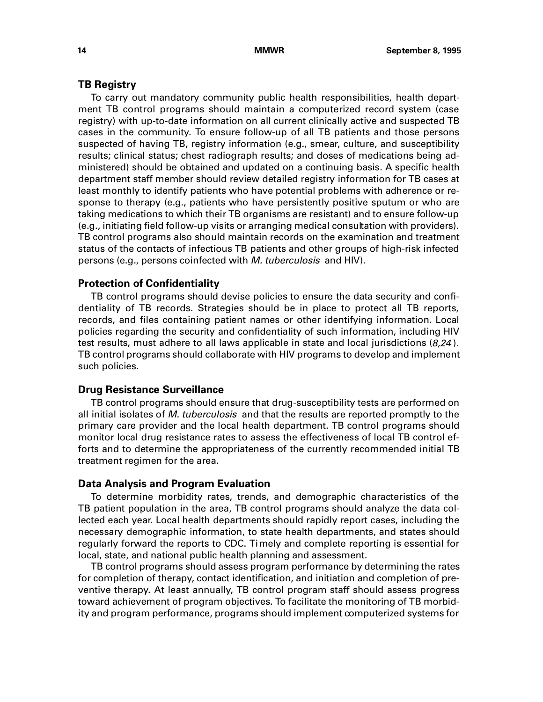#### <span id="page-21-0"></span>**TB Registry**

To carry out mandatory community public health responsibilities, health department TB control programs should maintain a computerized record system (case registry) with up-to-date information on all current clinically active and suspected TB cases in the community. To ensure follow-up of all TB patients and those persons suspected of having TB, registry information (e.g., smear, culture, and susceptibility results; clinical status; chest radiograph results; and doses of medications being administered) should be obtained and updated on a continuing basis. A specific health department staff member should review detailed registry information for TB cases at least monthly to identify patients who have potential problems with adherence or response to therapy (e.g., patients who have persistently positive sputum or who are taking medications to which their TB organisms are resistant) and to ensure follow-up (e.g., initiating field follow-up visits or arranging medical consultation with providers). TB control programs also should maintain records on the examination and treatment status of the contacts of infectious TB patients and other groups of high-risk infected persons (e.g., persons coinfected with M. tuberculosis and HIV).

#### **Protection of Confidentiality**

TB control programs should devise policies to ensure the data security and confidentiality of TB records. Strategies should be in place to protect all TB reports, records, and files containing patient names or other identifying information. Local policies regarding the security and confidentiality of such information, including HIV test results, must adhere to all laws applicable in state and local jurisdictions  $(8,24)$ . TB control programs should collaborate with HIV programs to develop and implement such policies.

### **Drug Resistance Surveillance**

TB control programs should ensure that drug-susceptibility tests are performed on all initial isolates of M. tuberculosis and that the results are reported promptly to the primary care provider and the local health department. TB control programs should monitor local drug resistance rates to assess the effectiveness of local TB control efforts and to determine the appropriateness of the currently recommended initial TB treatment regimen for the area.

#### **Data Analysis and Program Evaluation**

To determine morbidity rates, trends, and demographic characteristics of the TB patient population in the area, TB control programs should analyze the data collected each year. Local health departments should rapidly report cases, including the necessary demographic information, to state health departments, and states should regularly forward the reports to CDC. Timely and complete reporting is essential for local, state, and national public health planning and assessment.

TB control programs should assess program performance by determining the rates for completion of therapy, contact identification, and initiation and completion of preventive therapy. At least annually, TB control program staff should assess progress toward achievement of program objectives. To facilitate the monitoring of TB morbidity and program performance, programs should implement computerized systems for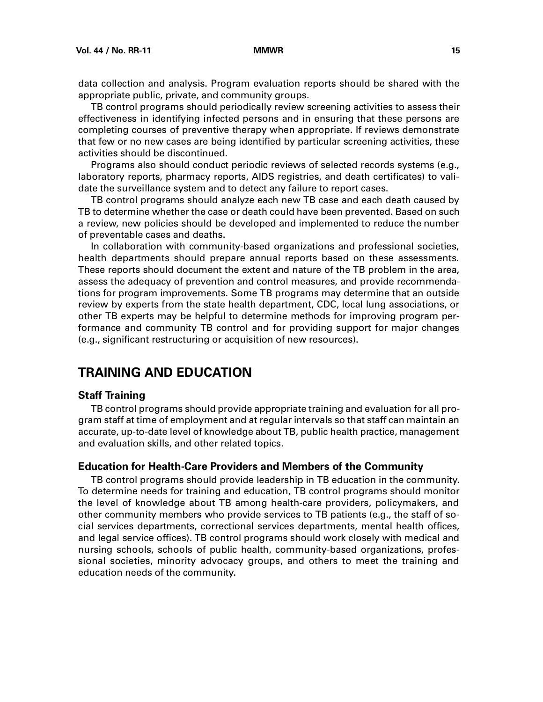<span id="page-22-1"></span><span id="page-22-0"></span>data collection and analysis. Program evaluation reports should be shared with the appropriate public, private, and community groups.

TB control programs should periodically review screening activities to assess their effectiveness in identifying infected persons and in ensuring that these persons are completing courses of preventive therapy when appropriate. If reviews demonstrate that few or no new cases are being identified by particular screening activities, these activities should be discontinued.

Programs also should conduct periodic reviews of selected records systems (e.g., laboratory reports, pharmacy reports, AIDS registries, and death certificates) to validate the surveillance system and to detect any failure to report cases.

TB control programs should analyze each new TB case and each death caused by TB to determine whether the case or death could have been prevented. Based on such a review, new policies should be developed and implemented to reduce the number of preventable cases and deaths.

In collaboration with community-based organizations and professional societies, health departments should prepare annual reports based on these assessments. These reports should document the extent and nature of the TB problem in the area, assess the adequacy of prevention and control measures, and provide recommendations for program improvements. Some TB programs may determine that an outside review by experts from the state health department, CDC, local lung associations, or other TB experts may be helpful to determine methods for improving program performance and community TB control and for providing support for major changes (e.g., significant restructuring or acquisition of new resources).

# **TRAINING AND EDUCATION**

#### **Staff Training**

TB control programs should provide appropriate training and evaluation for all program staff at time of employment and at regular intervals so that staff can maintain an accurate, up-to-date level of knowledge about TB, public health practice, management and evaluation skills, and other related topics.

#### **Education for Health-Care Providers and Members of the Community**

TB control programs should provide leadership in TB education in the community. To determine needs for training and education, TB control programs should monitor the level of knowledge about TB among health-care providers, policymakers, and other community members who provide services to TB patients (e.g., the staff of social services departments, correctional services departments, mental health offices, and legal service offices). TB control programs should work closely with medical and nursing schools, schools of public health, community-based organizations, professional societies, minority advocacy groups, and others to meet the training and education needs of the community.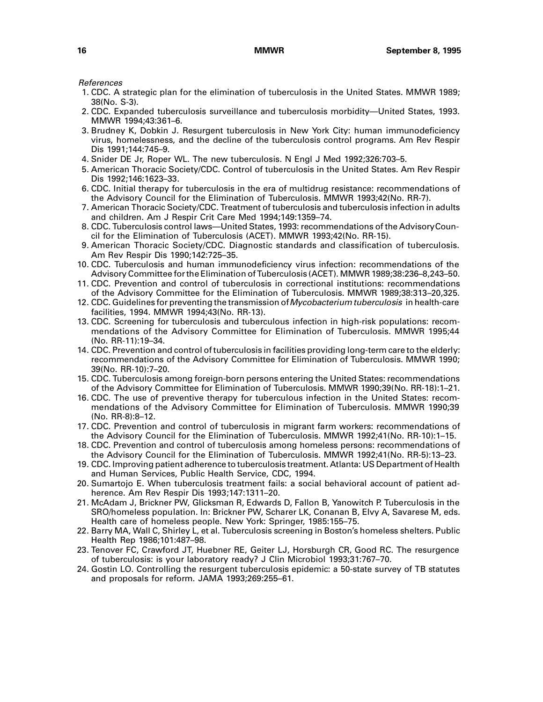<span id="page-23-0"></span>References

- 1. CDC. A strategic plan for the elimination of tuberculosis in the United States. MMWR 1989; 38(No. S-3).
- 2. CDC. Expanded tuberculosis surveillance and tuberculosis morbidity—United States, 1993. MMWR 1994;43:361–6.
- 3. Brudney K, Dobkin J. Resurgent tuberculosis in New York City: human immunodeficiency virus, homelessness, and the decline of the tuberculosis control programs. Am Rev Respir Dis 1991;144:745–9.
- 4. Snider DE Jr, Roper WL. The new tuberculosis. N Engl J Med 1992;326:703–5.
- 5. American Thoracic Society/CDC. Control of tuberculosis in the United States. Am Rev Respir Dis 1992;146:1623–33.
- 6. CDC. Initial therapy for tuberculosis in the era of multidrug resistance: recommendations of the Advisory Council for the Elimination of Tuberculosis. MMWR 1993;42(No. RR-7).
- 7. American Thoracic Society/CDC. Treatment of tuberculosis and tuberculosis infection in adults and children. Am J Respir Crit Care Med 1994;149:1359–74.
- 8. CDC. Tuberculosis control laws—United States, 1993: recommendations of the Advisory Council for the Elimination of Tuberculosis (ACET). MMWR 1993;42(No. RR-15).
- 9. American Thoracic Society/CDC. Diagnostic standards and classification of tuberculosis. Am Rev Respir Dis 1990;142:725–35.
- 10. CDC. Tuberculosis and human immunodeficiency virus infection: recommendations of the Advisory Committee for the Elimination of Tuberculosis (ACET). MMWR 1989;38:236–8,243–50.
- 11. CDC. Prevention and control of tuberculosis in correctional institutions: recommendations of the Advisory Committee for the Elimination of Tuberculosis. MMWR 1989;38:313–20,325.
- 12. CDC. Guidelines for preventing the transmission of Mycobacterium tuberculosis in health-care facilities, 1994. MMWR 1994;43(No. RR-13).
- 13. CDC. Screening for tuberculosis and tuberculous infection in high-risk populations: recommendations of the Advisory Committee for Elimination of Tuberculosis. MMWR 1995;44 (No. RR-11):19–34.
- 14. CDC. Prevention and control of tuberculosis in facilities providing long-term care to the elderly: recommendations of the Advisory Committee for Elimination of Tuberculosis. MMWR 1990; 39(No. RR-10):7–20.
- 15. CDC. Tuberculosis among foreign-born persons entering the United States: recommendations of the Advisory Committee for Elimination of Tuberculosis. MMWR 1990;39(No. RR-18):1–21.
- 16. CDC. The use of preventive therapy for tuberculous infection in the United States: recommendations of the Advisory Committee for Elimination of Tuberculosis. MMWR 1990;39 (No. RR-8):8–12.
- 17. CDC. Prevention and control of tuberculosis in migrant farm workers: recommendations of the Advisory Council for the Elimination of Tuberculosis. MMWR 1992;41(No. RR-10):1–15.
- 18. CDC. Prevention and control of tuberculosis among homeless persons: recommendations of the Advisory Council for the Elimination of Tuberculosis. MMWR 1992;41(No. RR-5):13–23.
- 19. CDC. Improving patient adherence to tuberculosis treatment. Atlanta: US Department of Health and Human Services, Public Health Service, CDC, 1994.
- 20. Sumartojo E. When tuberculosis treatment fails: a social behavioral account of patient adherence. Am Rev Respir Dis 1993;147:1311–20.
- 21. McAdam J, Brickner PW, Glicksman R, Edwards D, Fallon B, Yanowitch P. Tuberculosis in the SRO/homeless population. In: Brickner PW, Scharer LK, Conanan B, Elvy A, Savarese M, eds. Health care of homeless people. New York: Springer, 1985:155–75.
- 22. Barry MA, Wall C, Shirley L, et al. Tuberculosis screening in Boston's homeless shelters. Public Health Rep 1986;101:487–98.
- 23. Tenover FC, Crawford JT, Huebner RE, Geiter LJ, Horsburgh CR, Good RC. The resurgence of tuberculosis: is your laboratory ready? J Clin Microbiol 1993;31:767–70.
- 24. Gostin LO. Controlling the resurgent tuberculosis epidemic: a 50-state survey of TB statutes and proposals for reform. JAMA 1993;269:255–61.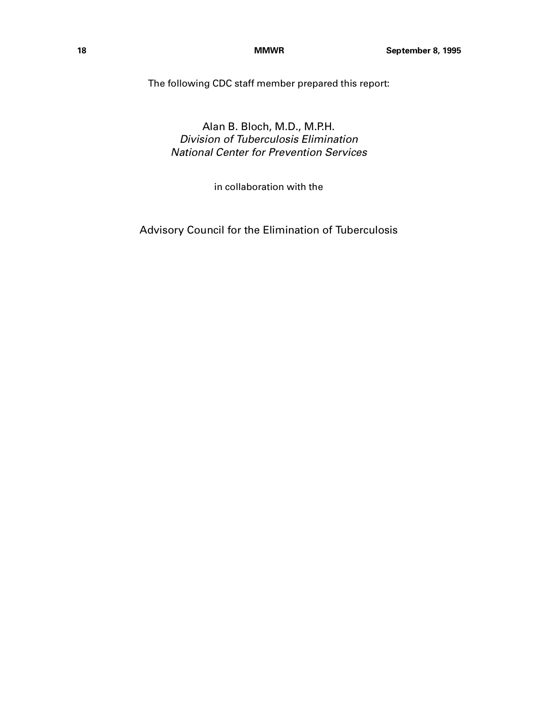The following CDC staff member prepared this report:

Alan B. Bloch, M.D., M.P.H. Division of Tuberculosis Elimination National Center for Prevention Services

in collaboration with the

Advisory Council for the Elimination of Tuberculosis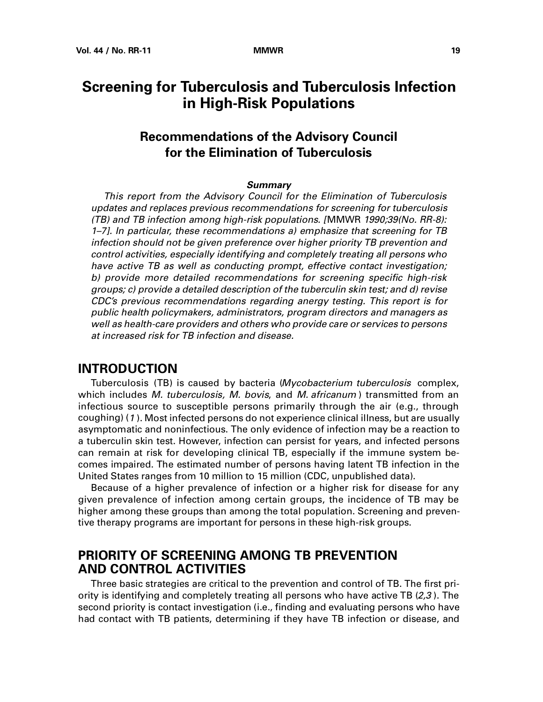# <span id="page-25-1"></span><span id="page-25-0"></span>**Recommendations of the Advisory Council for the Elimination of Tuberculosis**

#### **Summary**

This report from the Advisory Council for the Elimination of Tuberculosis updates and replaces previous recommendations for screening for tuberculosis (TB) and TB infection among high-risk populations. [MMWR 1990;39(No. RR-8): 1–7]. In particular, these recommendations a) emphasize that screening for TB infection should not be given preference over higher priority TB prevention and control activities, especially identifying and completely treating all persons who have active TB as well as conducting prompt, effective contact investigation; b) provide more detailed recommendations for screening specific high-risk groups; c) provide a detailed description of the tuberculin skin test; and d) revise CDC's previous recommendations regarding anergy testing. This report is for public health policymakers, administrators, program directors and managers as well as health-care providers and others who provide care or services to persons at increased risk for TB infection and disease.

# **INTRODUCTION**

Tuberculosis (TB) is caused by bacteria (Mycobacterium tuberculosis complex, which includes M. tuberculosis, M. bovis, and M. africanum) transmitted from an infectious source to susceptible persons primarily through the air (e.g., through coughing) (1 ). Most infected persons do not experience clinical illness, but are usually asymptomatic and noninfectious. The only evidence of infection may be a reaction to a tuberculin skin test. However, infection can persist for years, and infected persons can remain at risk for developing clinical TB, especially if the immune system becomes impaired. The estimated number of persons having latent TB infection in the United States ranges from 10 million to 15 million (CDC, unpublished data).

Because of a higher prevalence of infection or a higher risk for disease for any given prevalence of infection among certain groups, the incidence of TB may be higher among these groups than among the total population. Screening and preventive therapy programs are important for persons in these high-risk groups.

# **PRIORITY OF SCREENING AMONG TB PREVENTION AND CONTROL ACTIVITIES**

Three basic strategies are critical to the prevention and control of TB. The first priority is identifying and completely treating all persons who have active  $TB(2,3)$ . The second priority is contact investigation (i.e., finding and evaluating persons who have had contact with TB patients, determining if they have TB infection or disease, and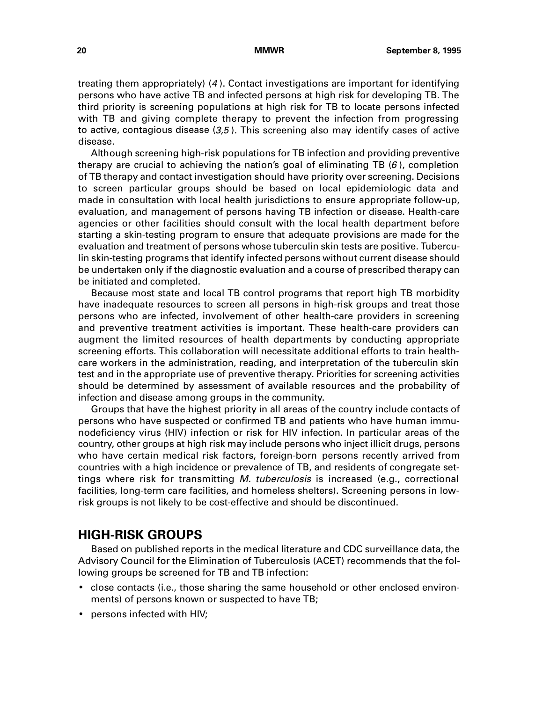<span id="page-26-0"></span>treating them appropriately) (4 ). Contact investigations are important for identifying persons who have active TB and infected persons at high risk for developing TB. The third priority is screening populations at high risk for TB to locate persons infected with TB and giving complete therapy to prevent the infection from progressing to active, contagious disease  $(3,5)$ . This screening also may identify cases of active disease.

Although screening high-risk populations for TB infection and providing preventive therapy are crucial to achieving the nation's goal of eliminating TB  $(6)$ , completion of TB therapy and contact investigation should have priority over screening. Decisions to screen particular groups should be based on local epidemiologic data and made in consultation with local health jurisdictions to ensure appropriate follow-up, evaluation, and management of persons having TB infection or disease. Health-care agencies or other facilities should consult with the local health department before starting a skin-testing program to ensure that adequate provisions are made for the evaluation and treatment of persons whose tuberculin skin tests are positive. Tuberculin skin-testing programs that identify infected persons without current disease should be undertaken only if the diagnostic evaluation and a course of prescribed therapy can be initiated and completed.

Because most state and local TB control programs that report high TB morbidity have inadequate resources to screen all persons in high-risk groups and treat those persons who are infected, involvement of other health-care providers in screening and preventive treatment activities is important. These health-care providers can augment the limited resources of health departments by conducting appropriate screening efforts. This collaboration will necessitate additional efforts to train healthcare workers in the administration, reading, and interpretation of the tuberculin skin test and in the appropriate use of preventive therapy. Priorities for screening activities should be determined by assessment of available resources and the probability of infection and disease among groups in the community.

Groups that have the highest priority in all areas of the country include contacts of persons who have suspected or confirmed TB and patients who have human immunodeficiency virus (HIV) infection or risk for HIV infection. In particular areas of the country, other groups at high risk may include persons who inject illicit drugs, persons who have certain medical risk factors, foreign-born persons recently arrived from countries with a high incidence or prevalence of TB, and residents of congregate settings where risk for transmitting M. tuberculosis is increased (e.g., correctional facilities, long-term care facilities, and homeless shelters). Screening persons in lowrisk groups is not likely to be cost-effective and should be discontinued.

# **HIGH-RISK GROUPS**

Based on published reports in the medical literature and CDC surveillance data, the Advisory Council for the Elimination of Tuberculosis (ACET) recommends that the following groups be screened for TB and TB infection:

- close contacts (i.e., those sharing the same household or other enclosed environments) of persons known or suspected to have TB;
- persons infected with HIV;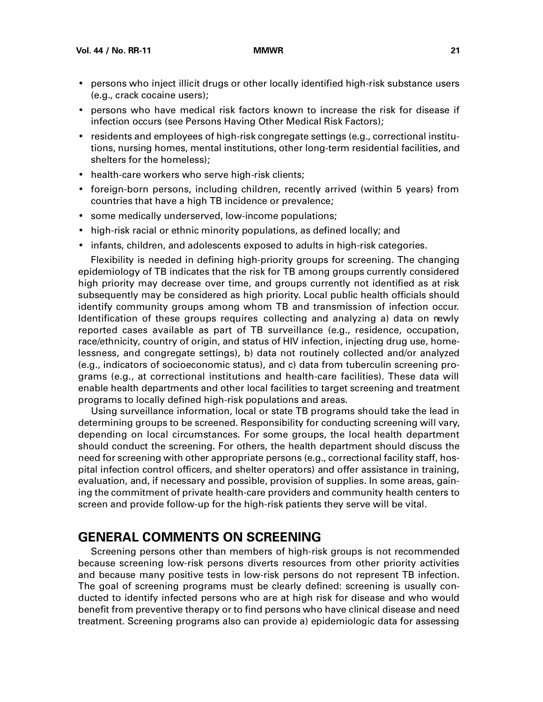- <span id="page-27-0"></span>• persons who inject illicit drugs or other locally identified high-risk substance users (e.g., crack cocaine users);
- persons who have medical risk factors known to increase the risk for disease if infection occurs (see Persons Having Other Medical Risk Factors);
- residents and employees of high-risk congregate settings (e.g., correctional institutions, nursing homes, mental institutions, other long-term residential facilities, and shelters for the homeless);
- health-care workers who serve high-risk clients;
- foreign-born persons, including children, recently arrived (within 5 years) from countries that have a high TB incidence or prevalence;
- some medically underserved, low-income populations;
- high-risk racial or ethnic minority populations, as defined locally; and
- infants, children, and adolescents exposed to adults in high-risk categories.

Flexibility is needed in defining high-priority groups for screening. The changing epidemiology of TB indicates that the risk for TB among groups currently considered high priority may decrease over time, and groups currently not identified as at risk subsequently may be considered as high priority. Local public health officials should identify community groups among whom TB and transmission of infection occur. Identification of these groups requires collecting and analyzing a) data on newly reported cases available as part of TB surveillance (e.g., residence, occupation, race/ethnicity, country of origin, and status of HIV infection, injecting drug use, homelessness, and congregate settings), b) data not routinely collected and/or analyzed (e.g., indicators of socioeconomic status), and c) data from tuberculin screening programs (e.g., at correctional institutions and health-care facilities). These data will enable health departments and other local facilities to target screening and treatment programs to locally defined high-risk populations and areas.

Using surveillance information, local or state TB programs should take the lead in determining groups to be screened. Responsibility for conducting screening will vary, depending on local circumstances. For some groups, the local health department should conduct the screening. For others, the health department should discuss the need for screening with other appropriate persons (e.g., correctional facility staff, hospital infection control officers, and shelter operators) and offer assistance in training, evaluation, and, if necessary and possible, provision of supplies. In some areas, gaining the commitment of private health-care providers and community health centers to screen and provide follow-up for the high-risk patients they serve will be vital.

# **GENERAL COMMENTS ON SCREENING**

Screening persons other than members of high-risk groups is not recommended because screening low-risk persons diverts resources from other priority activities and because many positive tests in low-risk persons do not represent TB infection. The goal of screening programs must be clearly defined: screening is usually conducted to identify infected persons who are at high risk for disease and who would benefit from preventive therapy or to find persons who have clinical disease and need treatment. Screening programs also can provide a) epidemiologic data for assessing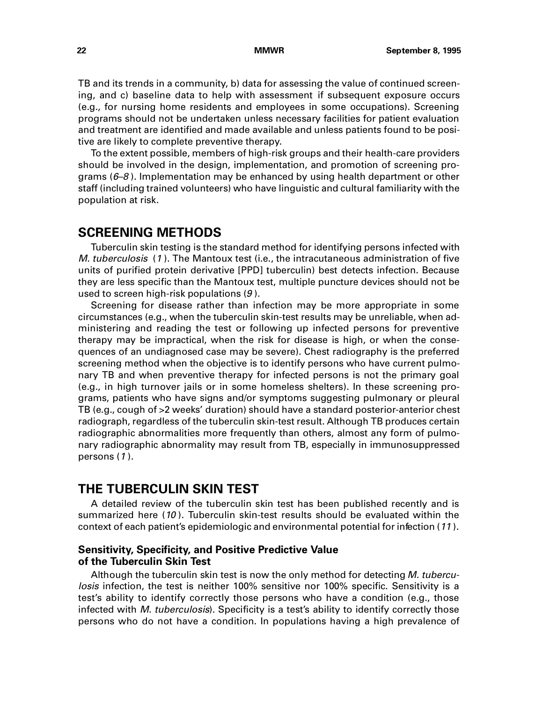<span id="page-28-0"></span>

TB and its trends in a community, b) data for assessing the value of continued screening, and c) baseline data to help with assessment if subsequent exposure occurs (e.g., for nursing home residents and employees in some occupations). Screening programs should not be undertaken unless necessary facilities for patient evaluation and treatment are identified and made available and unless patients found to be positive are likely to complete preventive therapy.

To the extent possible, members of high-risk groups and their health-care providers should be involved in the design, implementation, and promotion of screening programs  $(6-8)$ . Implementation may be enhanced by using health department or other staff (including trained volunteers) who have linguistic and cultural familiarity with the population at risk.

## **SCREENING METHODS**

Tuberculin skin testing is the standard method for identifying persons infected with M. tuberculosis (1). The Mantoux test (i.e., the intracutaneous administration of five units of purified protein derivative [PPD] tuberculin) best detects infection. Because they are less specific than the Mantoux test, multiple puncture devices should not be used to screen high-risk populations (9 ).

Screening for disease rather than infection may be more appropriate in some circumstances (e.g., when the tuberculin skin-test results may be unreliable, when administering and reading the test or following up infected persons for preventive therapy may be impractical, when the risk for disease is high, or when the consequences of an undiagnosed case may be severe). Chest radiography is the preferred screening method when the objective is to identify persons who have current pulmonary TB and when preventive therapy for infected persons is not the primary goal (e.g., in high turnover jails or in some homeless shelters). In these screening programs, patients who have signs and/or symptoms suggesting pulmonary or pleural TB (e.g., cough of >2 weeks' duration) should have a standard posterior-anterior chest radiograph, regardless of the tuberculin skin-test result. Although TB produces certain radiographic abnormalities more frequently than others, almost any form of pulmonary radiographic abnormality may result from TB, especially in immunosuppressed persons (1 ).

# **THE TUBERCULIN SKIN TEST**

A detailed review of the tuberculin skin test has been published recently and is summarized here (10 ). Tuberculin skin-test results should be evaluated within the context of each patient's epidemiologic and environmental potential for infection (11 ).

### **Sensitivity, Specificity, and Positive Predictive Value of the Tuberculin Skin Test**

Although the tuberculin skin test is now the only method for detecting M. tuberculosis infection, the test is neither 100% sensitive nor 100% specific. Sensitivity is a test's ability to identify correctly those persons who have a condition (e.g., those infected with M. tuberculosis). Specificity is a test's ability to identify correctly those persons who do not have a condition. In populations having a high prevalence of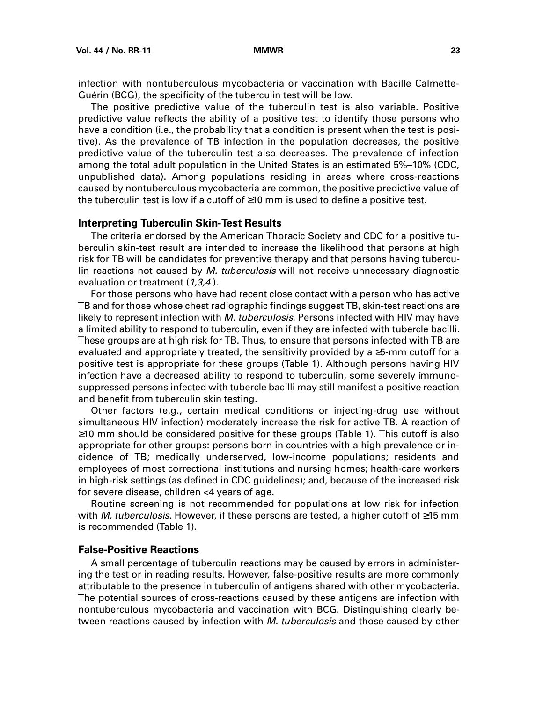<span id="page-29-0"></span>infection with nontuberculous mycobacteria or vaccination with Bacille Calmette-Guérin (BCG), the specificity of the tuberculin test will be low.

The positive predictive value of the tuberculin test is also variable. Positive predictive value reflects the ability of a positive test to identify those persons who have a condition (i.e., the probability that a condition is present when the test is positive). As the prevalence of TB infection in the population decreases, the positive predictive value of the tuberculin test also decreases. The prevalence of infection among the total adult population in the United States is an estimated 5%–10% (CDC, unpublished data). Among populations residing in areas where cross-reactions caused by nontuberculous mycobacteria are common, the positive predictive value of the tuberculin test is low if a cutoff of ≥10 mm is used to define a positive test.

#### **Interpreting Tuberculin Skin-Test Results**

The criteria endorsed by the American Thoracic Society and CDC for a positive tuberculin skin-test result are intended to increase the likelihood that persons at high risk for TB will be candidates for preventive therapy and that persons having tuberculin reactions not caused by M. tuberculosis will not receive unnecessary diagnostic evaluation or treatment (1,3,4).

For those persons who have had recent close contact with a person who has active TB and for those whose chest radiographic findings suggest TB, skin-test reactions are likely to represent infection with M. tuberculosis. Persons infected with HIV may have a limited ability to respond to tuberculin, even if they are infected with tubercle bacilli. These groups are at high risk for TB. Thus, to ensure that persons infected with TB are evaluated and appropriately treated, the sensitivity provided by a  $\geq$ 5-mm cutoff for a positive test is appropriate for these groups (Table 1). Although persons having HIV infection have a decreased ability to respond to tuberculin, some severely immunosuppressed persons infected with tubercle bacilli may still manifest a positive reaction and benefit from tuberculin skin testing.

Other factors (e.g., certain medical conditions or injecting-drug use without simultaneous HIV infection) moderately increase the risk for active TB. A reaction of ≥10 mm should be considered positive for these groups (Table 1). This cutoff is also appropriate for other groups: persons born in countries with a high prevalence or incidence of TB; medically underserved, low-income populations; residents and employees of most correctional institutions and nursing homes; health-care workers in high-risk settings (as defined in CDC guidelines); and, because of the increased risk for severe disease, children <4 years of age.

Routine screening is not recommended for populations at low risk for infection with M. tuberculosis. However, if these persons are tested, a higher cutoff of  $\geq 15$  mm is recommended (Table 1).

### **False-Positive Reactions**

A small percentage of tuberculin reactions may be caused by errors in administering the test or in reading results. However, false-positive results are more commonly attributable to the presence in tuberculin of antigens shared with other mycobacteria. The potential sources of cross-reactions caused by these antigens are infection with nontuberculous mycobacteria and vaccination with BCG. Distinguishing clearly between reactions caused by infection with M. tuberculosis and those caused by other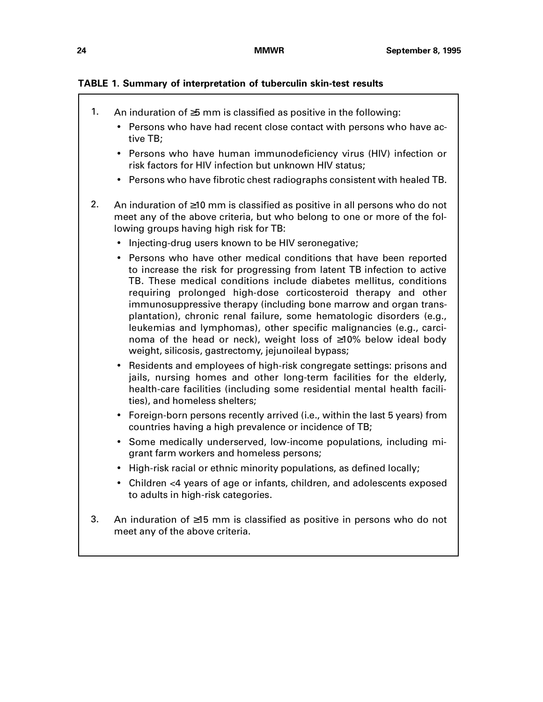### **TABLE 1. Summary of interpretation of tuberculin skin-test results**

- 1. An induration of  $\geq$ 5 mm is classified as positive in the following:
	- Persons who have had recent close contact with persons who have active TB;
	- Persons who have human immunodeficiency virus (HIV) infection or risk factors for HIV infection but unknown HIV status;
	- Persons who have fibrotic chest radiographs consistent with healed TB.
- 2. An induration of ≥10 mm is classified as positive in all persons who do not meet any of the above criteria, but who belong to one or more of the following groups having high risk for TB:
	- Injecting-drug users known to be HIV seronegative;
	- Persons who have other medical conditions that have been reported to increase the risk for progressing from latent TB infection to active TB. These medical conditions include diabetes mellitus, conditions requiring prolonged high-dose corticosteroid therapy and other immunosuppressive therapy (including bone marrow and organ transplantation), chronic renal failure, some hematologic disorders (e.g., leukemias and lymphomas), other specific malignancies (e.g., carcinoma of the head or neck), weight loss of ≥10% below ideal body weight, silicosis, gastrectomy, jejunoileal bypass;
	- Residents and employees of high-risk congregate settings: prisons and jails, nursing homes and other long-term facilities for the elderly, health-care facilities (including some residential mental health facilities), and homeless shelters;
	- Foreign-born persons recently arrived (i.e., within the last 5 years) from countries having a high prevalence or incidence of TB;
	- Some medically underserved, low-income populations, including migrant farm workers and homeless persons;
	- High-risk racial or ethnic minority populations, as defined locally;
	- Children <4 years of age or infants, children, and adolescents exposed to adults in high-risk categories.
- 3. An induration of ≥15 mm is classified as positive in persons who do not meet any of the above criteria.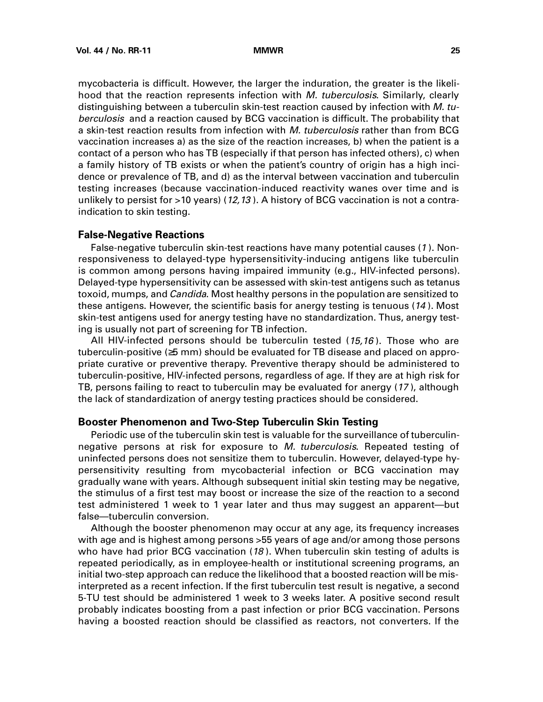<span id="page-31-0"></span>mycobacteria is difficult. However, the larger the induration, the greater is the likelihood that the reaction represents infection with M. tuberculosis. Similarly, clearly distinguishing between a tuberculin skin-test reaction caused by infection with M. tuberculosis and a reaction caused by BCG vaccination is difficult. The probability that a skin-test reaction results from infection with M. tuberculosis rather than from BCG vaccination increases a) as the size of the reaction increases, b) when the patient is a contact of a person who has TB (especially if that person has infected others), c) when a family history of TB exists or when the patient's country of origin has a high incidence or prevalence of TB, and d) as the interval between vaccination and tuberculin testing increases (because vaccination-induced reactivity wanes over time and is unlikely to persist for >10 years) (12,13). A history of BCG vaccination is not a contraindication to skin testing.

#### **False-Negative Reactions**

False-negative tuberculin skin-test reactions have many potential causes (1 ). Nonresponsiveness to delayed-type hypersensitivity-inducing antigens like tuberculin is common among persons having impaired immunity (e.g., HIV-infected persons). Delayed-type hypersensitivity can be assessed with skin-test antigens such as tetanus toxoid, mumps, and Candida. Most healthy persons in the population are sensitized to these antigens. However, the scientific basis for anergy testing is tenuous (14). Most skin-test antigens used for anergy testing have no standardization. Thus, anergy testing is usually not part of screening for TB infection.

All HIV-infected persons should be tuberculin tested  $(15,16)$ . Those who are tuberculin-positive (≥5 mm) should be evaluated for TB disease and placed on appropriate curative or preventive therapy. Preventive therapy should be administered to tuberculin-positive, HIV-infected persons, regardless of age. If they are at high risk for TB, persons failing to react to tuberculin may be evaluated for anergy (17 ), although the lack of standardization of anergy testing practices should be considered.

#### **Booster Phenomenon and Two-Step Tuberculin Skin Testing**

Periodic use of the tuberculin skin test is valuable for the surveillance of tuberculinnegative persons at risk for exposure to *M. tuberculosis*. Repeated testing of uninfected persons does not sensitize them to tuberculin. However, delayed-type hypersensitivity resulting from mycobacterial infection or BCG vaccination may gradually wane with years. Although subsequent initial skin testing may be negative, the stimulus of a first test may boost or increase the size of the reaction to a second test administered 1 week to 1 year later and thus may suggest an apparent—but false—tuberculin conversion.

Although the booster phenomenon may occur at any age, its frequency increases with age and is highest among persons >55 years of age and/or among those persons who have had prior BCG vaccination (18). When tuberculin skin testing of adults is repeated periodically, as in employee-health or institutional screening programs, an initial two-step approach can reduce the likelihood that a boosted reaction will be misinterpreted as a recent infection. If the first tuberculin test result is negative, a second 5-TU test should be administered 1 week to 3 weeks later. A positive second result probably indicates boosting from a past infection or prior BCG vaccination. Persons having a boosted reaction should be classified as reactors, not converters. If the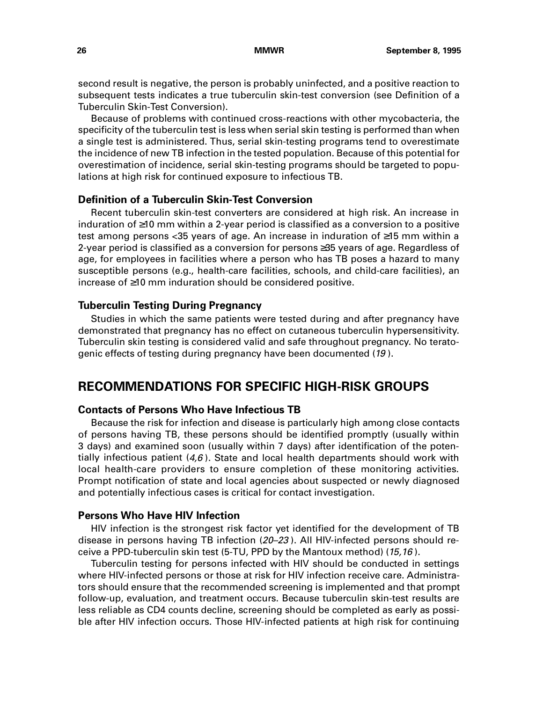<span id="page-32-0"></span>second result is negative, the person is probably uninfected, and a positive reaction to subsequent tests indicates a true tuberculin skin-test conversion (see Definition of a Tuberculin Skin-Test Conversion).

Because of problems with continued cross-reactions with other mycobacteria, the specificity of the tuberculin test is less when serial skin testing is performed than when a single test is administered. Thus, serial skin-testing programs tend to overestimate the incidence of new TB infection in the tested population. Because of this potential for overestimation of incidence, serial skin-testing programs should be targeted to populations at high risk for continued exposure to infectious TB.

#### **Definition of a Tuberculin Skin-Test Conversion**

Recent tuberculin skin-test converters are considered at high risk. An increase in induration of ≥10 mm within a 2-year period is classified as a conversion to a positive test among persons <35 years of age. An increase in induration of ≥15 mm within a 2-year period is classified as a conversion for persons ≥35 years of age. Regardless of age, for employees in facilities where a person who has TB poses a hazard to many susceptible persons (e.g., health-care facilities, schools, and child-care facilities), an increase of ≥10 mm induration should be considered positive.

#### **Tuberculin Testing During Pregnancy**

Studies in which the same patients were tested during and after pregnancy have demonstrated that pregnancy has no effect on cutaneous tuberculin hypersensitivity. Tuberculin skin testing is considered valid and safe throughout pregnancy. No teratogenic effects of testing during pregnancy have been documented (19).

# **RECOMMENDATIONS FOR SPECIFIC HIGH-RISK GROUPS**

### **Contacts of Persons Who Have Infectious TB**

Because the risk for infection and disease is particularly high among close contacts of persons having TB, these persons should be identified promptly (usually within 3 days) and examined soon (usually within 7 days) after identification of the potentially infectious patient  $(4,6)$ . State and local health departments should work with local health-care providers to ensure completion of these monitoring activities. Prompt notification of state and local agencies about suspected or newly diagnosed and potentially infectious cases is critical for contact investigation.

#### **Persons Who Have HIV Infection**

HIV infection is the strongest risk factor yet identified for the development of TB disease in persons having TB infection (20–23 ). All HIV-infected persons should receive a PPD-tuberculin skin test (5-TU, PPD by the Mantoux method) (15,16 ).

Tuberculin testing for persons infected with HIV should be conducted in settings where HIV-infected persons or those at risk for HIV infection receive care. Administrators should ensure that the recommended screening is implemented and that prompt follow-up, evaluation, and treatment occurs. Because tuberculin skin-test results are less reliable as CD4 counts decline, screening should be completed as early as possible after HIV infection occurs. Those HIV-infected patients at high risk for continuing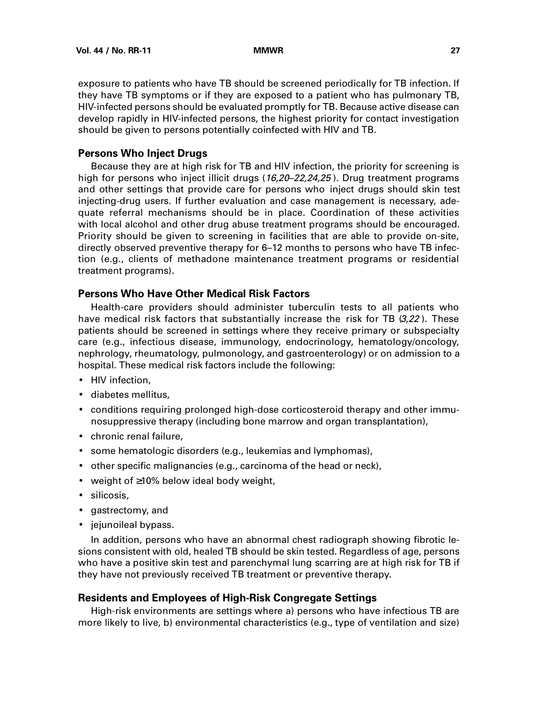<span id="page-33-0"></span>exposure to patients who have TB should be screened periodically for TB infection. If they have TB symptoms or if they are exposed to a patient who has pulmonary TB, HIV-infected persons should be evaluated promptly for TB. Because active disease can develop rapidly in HIV-infected persons, the highest priority for contact investigation should be given to persons potentially coinfected with HIV and TB.

### **Persons Who Inject Drugs**

Because they are at high risk for TB and HIV infection, the priority for screening is high for persons who inject illicit drugs (16,20–22,24,25). Drug treatment programs and other settings that provide care for persons who inject drugs should skin test injecting-drug users. If further evaluation and case management is necessary, adequate referral mechanisms should be in place. Coordination of these activities with local alcohol and other drug abuse treatment programs should be encouraged. Priority should be given to screening in facilities that are able to provide on-site, directly observed preventive therapy for 6–12 months to persons who have TB infection (e.g., clients of methadone maintenance treatment programs or residential treatment programs).

### **Persons Who Have Other Medical Risk Factors**

Health-care providers should administer tuberculin tests to all patients who have medical risk factors that substantially increase the risk for TB (3,22). These patients should be screened in settings where they receive primary or subspecialty care (e.g., infectious disease, immunology, endocrinology, hematology/oncology, nephrology, rheumatology, pulmonology, and gastroenterology) or on admission to a hospital. These medical risk factors include the following:

- HIV infection,
- diabetes mellitus,
- conditions requiring prolonged high-dose corticosteroid therapy and other immunosuppressive therapy (including bone marrow and organ transplantation),
- chronic renal failure,
- some hematologic disorders (e.g., leukemias and lymphomas),
- other specific malignancies (e.g., carcinoma of the head or neck),
- weight of ≥10% below ideal body weight,
- silicosis,
- gastrectomy, and
- jejunoileal bypass.

In addition, persons who have an abnormal chest radiograph showing fibrotic lesions consistent with old, healed TB should be skin tested. Regardless of age, persons who have a positive skin test and parenchymal lung scarring are at high risk for TB if they have not previously received TB treatment or preventive therapy.

### **Residents and Employees of High-Risk Congregate Settings**

High-risk environments are settings where a) persons who have infectious TB are more likely to live, b) environmental characteristics (e.g., type of ventilation and size)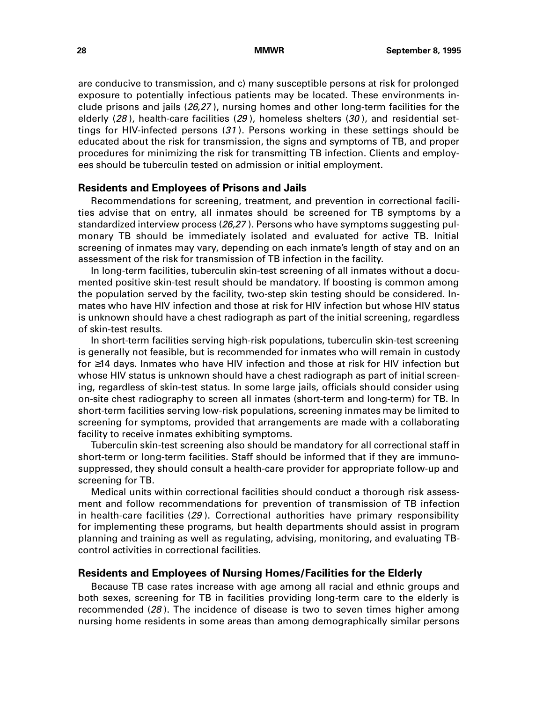<span id="page-34-0"></span>

are conducive to transmission, and c) many susceptible persons at risk for prolonged exposure to potentially infectious patients may be located. These environments include prisons and jails (26,27 ), nursing homes and other long-term facilities for the elderly  $(28)$ , health-care facilities  $(29)$ , homeless shelters  $(30)$ , and residential settings for HIV-infected persons (31 ). Persons working in these settings should be educated about the risk for transmission, the signs and symptoms of TB, and proper procedures for minimizing the risk for transmitting TB infection. Clients and employees should be tuberculin tested on admission or initial employment.

### **Residents and Employees of Prisons and Jails**

Recommendations for screening, treatment, and prevention in correctional facilities advise that on entry, all inmates should be screened for TB symptoms by a standardized interview process (26,27 ). Persons who have symptoms suggesting pulmonary TB should be immediately isolated and evaluated for active TB. Initial screening of inmates may vary, depending on each inmate's length of stay and on an assessment of the risk for transmission of TB infection in the facility.

In long-term facilities, tuberculin skin-test screening of all inmates without a documented positive skin-test result should be mandatory. If boosting is common among the population served by the facility, two-step skin testing should be considered. Inmates who have HIV infection and those at risk for HIV infection but whose HIV status is unknown should have a chest radiograph as part of the initial screening, regardless of skin-test results.

In short-term facilities serving high-risk populations, tuberculin skin-test screening is generally not feasible, but is recommended for inmates who will remain in custody for ≥14 days. Inmates who have HIV infection and those at risk for HIV infection but whose HIV status is unknown should have a chest radiograph as part of initial screening, regardless of skin-test status. In some large jails, officials should consider using on-site chest radiography to screen all inmates (short-term and long-term) for TB. In short-term facilities serving low-risk populations, screening inmates may be limited to screening for symptoms, provided that arrangements are made with a collaborating facility to receive inmates exhibiting symptoms.

Tuberculin skin-test screening also should be mandatory for all correctional staff in short-term or long-term facilities. Staff should be informed that if they are immunosuppressed, they should consult a health-care provider for appropriate follow-up and screening for TB.

Medical units within correctional facilities should conduct a thorough risk assessment and follow recommendations for prevention of transmission of TB infection in health-care facilities  $(29)$ . Correctional authorities have primary responsibility for implementing these programs, but health departments should assist in program planning and training as well as regulating, advising, monitoring, and evaluating TBcontrol activities in correctional facilities.

#### **Residents and Employees of Nursing Homes/Facilities for the Elderly**

Because TB case rates increase with age among all racial and ethnic groups and both sexes, screening for TB in facilities providing long-term care to the elderly is recommended (28 ). The incidence of disease is two to seven times higher among nursing home residents in some areas than among demographically similar persons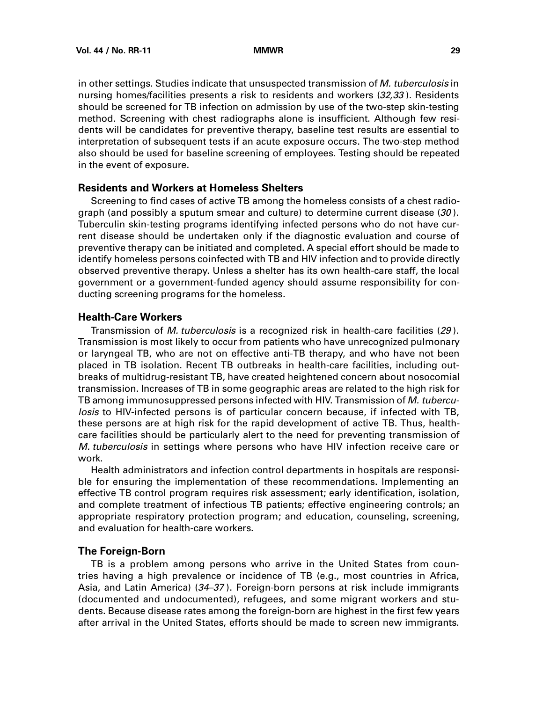<span id="page-35-0"></span>in other settings. Studies indicate that unsuspected transmission of M. tuberculosis in nursing homes/facilities presents a risk to residents and workers (32,33 ). Residents should be screened for TB infection on admission by use of the two-step skin-testing method. Screening with chest radiographs alone is insufficient. Although few residents will be candidates for preventive therapy, baseline test results are essential to interpretation of subsequent tests if an acute exposure occurs. The two-step method also should be used for baseline screening of employees. Testing should be repeated in the event of exposure.

### **Residents and Workers at Homeless Shelters**

Screening to find cases of active TB among the homeless consists of a chest radiograph (and possibly a sputum smear and culture) to determine current disease (30 ). Tuberculin skin-testing programs identifying infected persons who do not have current disease should be undertaken only if the diagnostic evaluation and course of preventive therapy can be initiated and completed. A special effort should be made to identify homeless persons coinfected with TB and HIV infection and to provide directly observed preventive therapy. Unless a shelter has its own health-care staff, the local government or a government-funded agency should assume responsibility for conducting screening programs for the homeless.

#### **Health-Care Workers**

Transmission of *M. tuberculosis* is a recognized risk in health-care facilities (29). Transmission is most likely to occur from patients who have unrecognized pulmonary or laryngeal TB, who are not on effective anti-TB therapy, and who have not been placed in TB isolation. Recent TB outbreaks in health-care facilities, including outbreaks of multidrug-resistant TB, have created heightened concern about nosocomial transmission. Increases of TB in some geographic areas are related to the high risk for TB among immunosuppressed persons infected with HIV. Transmission of M. tuberculosis to HIV-infected persons is of particular concern because, if infected with TB, these persons are at high risk for the rapid development of active TB. Thus, healthcare facilities should be particularly alert to the need for preventing transmission of M. tuberculosis in settings where persons who have HIV infection receive care or work.

Health administrators and infection control departments in hospitals are responsible for ensuring the implementation of these recommendations. Implementing an effective TB control program requires risk assessment; early identification, isolation, and complete treatment of infectious TB patients; effective engineering controls; an appropriate respiratory protection program; and education, counseling, screening, and evaluation for health-care workers.

#### **The Foreign-Born**

TB is a problem among persons who arrive in the United States from countries having a high prevalence or incidence of TB (e.g., most countries in Africa, Asia, and Latin America) (34–37 ). Foreign-born persons at risk include immigrants (documented and undocumented), refugees, and some migrant workers and students. Because disease rates among the foreign-born are highest in the first few years after arrival in the United States, efforts should be made to screen new immigrants.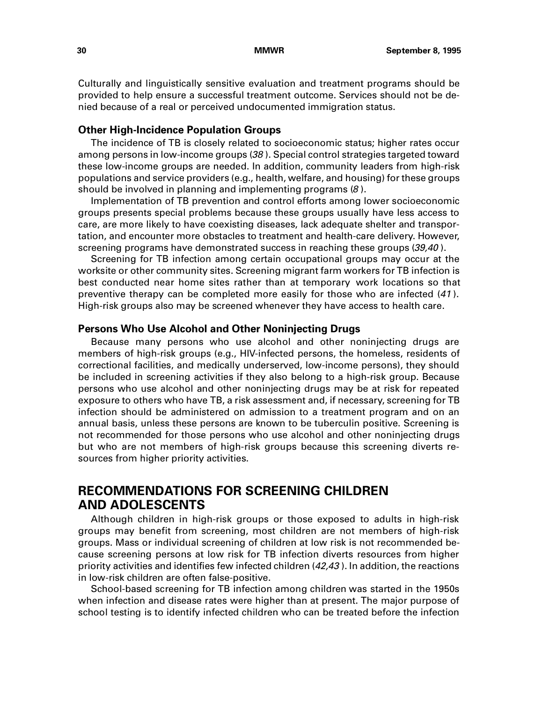<span id="page-36-0"></span>Culturally and linguistically sensitive evaluation and treatment programs should be provided to help ensure a successful treatment outcome. Services should not be denied because of a real or perceived undocumented immigration status.

#### **Other High-Incidence Population Groups**

The incidence of TB is closely related to socioeconomic status; higher rates occur among persons in low-income groups (38 ). Special control strategies targeted toward these low-income groups are needed. In addition, community leaders from high-risk populations and service providers (e.g., health, welfare, and housing) for these groups should be involved in planning and implementing programs (8 ).

Implementation of TB prevention and control efforts among lower socioeconomic groups presents special problems because these groups usually have less access to care, are more likely to have coexisting diseases, lack adequate shelter and transportation, and encounter more obstacles to treatment and health-care delivery. However, screening programs have demonstrated success in reaching these groups (39,40).

Screening for TB infection among certain occupational groups may occur at the worksite or other community sites. Screening migrant farm workers for TB infection is best conducted near home sites rather than at temporary work locations so that preventive therapy can be completed more easily for those who are infected (41 ). High-risk groups also may be screened whenever they have access to health care.

#### **Persons Who Use Alcohol and Other Noninjecting Drugs**

Because many persons who use alcohol and other noninjecting drugs are members of high-risk groups (e.g., HIV-infected persons, the homeless, residents of correctional facilities, and medically underserved, low-income persons), they should be included in screening activities if they also belong to a high-risk group. Because persons who use alcohol and other noninjecting drugs may be at risk for repeated exposure to others who have TB, a risk assessment and, if necessary, screening for TB infection should be administered on admission to a treatment program and on an annual basis, unless these persons are known to be tuberculin positive. Screening is not recommended for those persons who use alcohol and other noninjecting drugs but who are not members of high-risk groups because this screening diverts resources from higher priority activities.

# **RECOMMENDATIONS FOR SCREENING CHILDREN AND ADOLESCENTS**

Although children in high-risk groups or those exposed to adults in high-risk groups may benefit from screening, most children are not members of high-risk groups. Mass or individual screening of children at low risk is not recommended because screening persons at low risk for TB infection diverts resources from higher priority activities and identifies few infected children (42,43 ). In addition, the reactions in low-risk children are often false-positive.

School-based screening for TB infection among children was started in the 1950s when infection and disease rates were higher than at present. The major purpose of school testing is to identify infected children who can be treated before the infection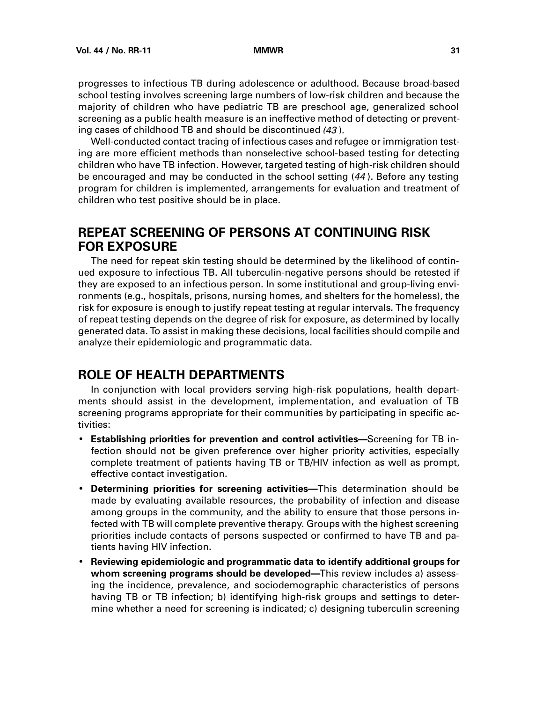<span id="page-37-1"></span><span id="page-37-0"></span>progresses to infectious TB during adolescence or adulthood. Because broad-based school testing involves screening large numbers of low-risk children and because the majority of children who have pediatric TB are preschool age, generalized school screening as a public health measure is an ineffective method of detecting or preventing cases of childhood TB and should be discontinued (43 ).

Well-conducted contact tracing of infectious cases and refugee or immigration testing are more efficient methods than nonselective school-based testing for detecting children who have TB infection. However, targeted testing of high-risk children should be encouraged and may be conducted in the school setting (44 ). Before any testing program for children is implemented, arrangements for evaluation and treatment of children who test positive should be in place.

# **REPEAT SCREENING OF PERSONS AT CONTINUING RISK FOR EXPOSURE**

The need for repeat skin testing should be determined by the likelihood of continued exposure to infectious TB. All tuberculin-negative persons should be retested if they are exposed to an infectious person. In some institutional and group-living environments (e.g., hospitals, prisons, nursing homes, and shelters for the homeless), the risk for exposure is enough to justify repeat testing at regular intervals. The frequency of repeat testing depends on the degree of risk for exposure, as determined by locally generated data. To assist in making these decisions, local facilities should compile and analyze their epidemiologic and programmatic data.

# **ROLE OF HEALTH DEPARTMENTS**

In conjunction with local providers serving high-risk populations, health departments should assist in the development, implementation, and evaluation of TB screening programs appropriate for their communities by participating in specific activities:

- **Establishing priorities for prevention and control activities—**Screening for TB infection should not be given preference over higher priority activities, especially complete treatment of patients having TB or TB/HIV infection as well as prompt, effective contact investigation.
- **Determining priorities for screening activities—**This determination should be made by evaluating available resources, the probability of infection and disease among groups in the community, and the ability to ensure that those persons infected with TB will complete preventive therapy. Groups with the highest screening priorities include contacts of persons suspected or confirmed to have TB and patients having HIV infection.
- **Reviewing epidemiologic and programmatic data to identify additional groups for whom screening programs should be developed—**This review includes a) assessing the incidence, prevalence, and sociodemographic characteristics of persons having TB or TB infection; b) identifying high-risk groups and settings to determine whether a need for screening is indicated; c) designing tuberculin screening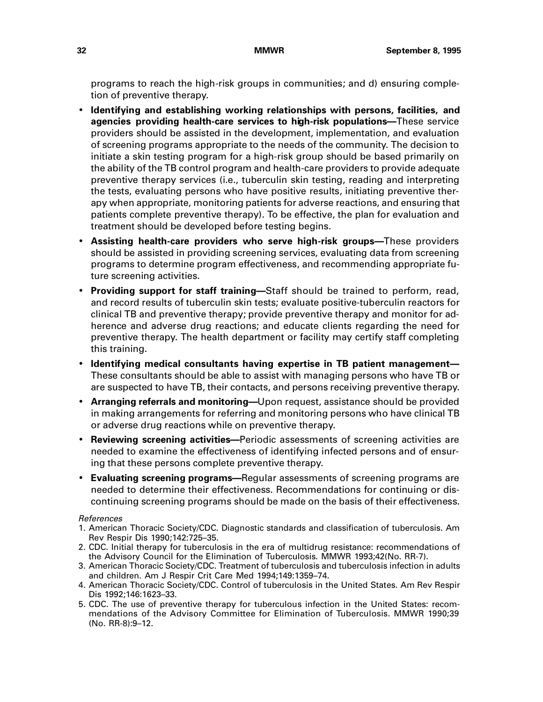<span id="page-38-0"></span>programs to reach the high-risk groups in communities; and d) ensuring completion of preventive therapy.

- **Identifying and establishing working relationships with persons, facilities, and agencies providing health-care services to high-risk populations—**These service providers should be assisted in the development, implementation, and evaluation of screening programs appropriate to the needs of the community. The decision to initiate a skin testing program for a high-risk group should be based primarily on the ability of the TB control program and health-care providers to provide adequate preventive therapy services (i.e., tuberculin skin testing, reading and interpreting the tests, evaluating persons who have positive results, initiating preventive therapy when appropriate, monitoring patients for adverse reactions, and ensuring that patients complete preventive therapy). To be effective, the plan for evaluation and treatment should be developed before testing begins.
- **Assisting health-care providers who serve high-risk groups—**These providers should be assisted in providing screening services, evaluating data from screening programs to determine program effectiveness, and recommending appropriate future screening activities.
- **Providing support for staff training—**Staff should be trained to perform, read, and record results of tuberculin skin tests; evaluate positive-tuberculin reactors for clinical TB and preventive therapy; provide preventive therapy and monitor for adherence and adverse drug reactions; and educate clients regarding the need for preventive therapy. The health department or facility may certify staff completing this training.
- **Identifying medical consultants having expertise in TB patient management—** These consultants should be able to assist with managing persons who have TB or are suspected to have TB, their contacts, and persons receiving preventive therapy.
- **Arranging referrals and monitoring—**Upon request, assistance should be provided in making arrangements for referring and monitoring persons who have clinical TB or adverse drug reactions while on preventive therapy.
- **Reviewing screening activities—**Periodic assessments of screening activities are needed to examine the effectiveness of identifying infected persons and of ensuring that these persons complete preventive therapy.
- **Evaluating screening programs—**Regular assessments of screening programs are needed to determine their effectiveness. Recommendations for continuing or discontinuing screening programs should be made on the basis of their effectiveness.

#### References

- 1. American Thoracic Society/CDC. Diagnostic standards and classification of tuberculosis. Am Rev Respir Dis 1990;142:725–35.
- 2. CDC. Initial therapy for tuberculosis in the era of multidrug resistance: recommendations of the Advisory Council for the Elimination of Tuberculosis. MMWR 1993;42(No. RR-7).
- 3. American Thoracic Society/CDC. Treatment of tuberculosis and tuberculosis infection in adults and children. Am J Respir Crit Care Med 1994;149:1359–74.
- 4. American Thoracic Society/CDC. Control of tuberculosis in the United States. Am Rev Respir Dis 1992;146:1623–33.
- 5. CDC. The use of preventive therapy for tuberculous infection in the United States: recommendations of the Advisory Committee for Elimination of Tuberculosis. MMWR 1990;39 (No. RR-8):9–12.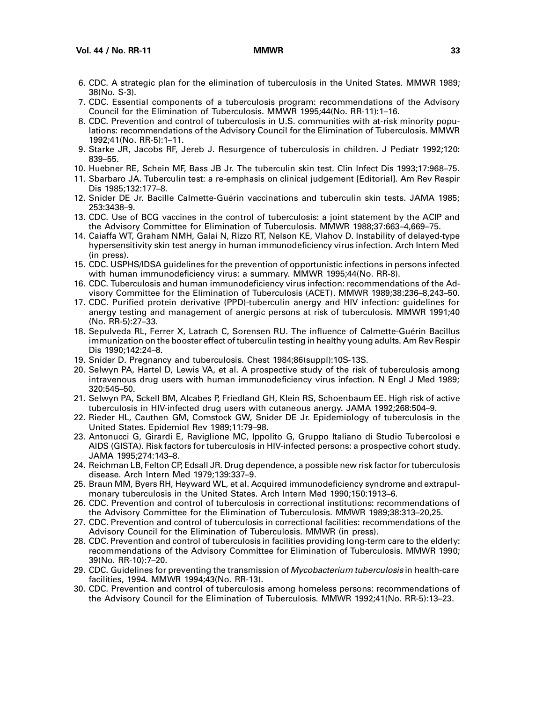- 6. CDC. A strategic plan for the elimination of tuberculosis in the United States. MMWR 1989; 38(No. S-3).
- 7. CDC. Essential components of a tuberculosis program: recommendations of the Advisory Council for the Elimination of Tuberculosis. MMWR 1995;44(No. RR-11):1–16.
- 8. CDC. Prevention and control of tuberculosis in U.S. communities with at-risk minority populations: recommendations of the Advisory Council for the Elimination of Tuberculosis. MMWR 1992;41(No. RR-5):1–11.
- 9. Starke JR, Jacobs RF, Jereb J. Resurgence of tuberculosis in children. J Pediatr 1992;120: 839–55.
- 10. Huebner RE, Schein MF, Bass JB Jr. The tuberculin skin test. Clin Infect Dis 1993;17:968–75.
- 11. Sbarbaro JA. Tuberculin test: a re-emphasis on clinical judgement [Editorial]. Am Rev Respir Dis 1985;132:177–8.
- 12. Snider DE Jr. Bacille Calmette-Guérin vaccinations and tuberculin skin tests. JAMA 1985; 253:3438–9.
- 13. CDC. Use of BCG vaccines in the control of tuberculosis: a joint statement by the ACIP and the Advisory Committee for Elimination of Tuberculosis. MMWR 1988;37:663–4,669–75.
- 14. Caiaffa WT, Graham NMH, Galai N, Rizzo RT, Nelson KE, Vlahov D. Instability of delayed-type hypersensitivity skin test anergy in human immunodeficiency virus infection. Arch Intern Med (in press).
- 15. CDC. USPHS/IDSA guidelines for the prevention of opportunistic infections in persons infected with human immunodeficiency virus: a summary. MMWR 1995;44(No. RR-8).
- 16. CDC. Tuberculosis and human immunodeficiency virus infection: recommendations of the Advisory Committee for the Elimination of Tuberculosis (ACET). MMWR 1989;38:236–8,243–50.
- 17. CDC. Purified protein derivative (PPD)-tuberculin anergy and HIV infection: guidelines for anergy testing and management of anergic persons at risk of tuberculosis. MMWR 1991;40 (No. RR-5):27–33.
- 18. Sepulveda RL, Ferrer X, Latrach C, Sorensen RU. The influence of Calmette-Guérin Bacillus immunization on the booster effect of tuberculin testing in healthy young adults. Am Rev Respir Dis 1990;142:24–8.
- 19. Snider D. Pregnancy and tuberculosis. Chest 1984;86(suppl):10S-13S.
- 20. Selwyn PA, Hartel D, Lewis VA, et al. A prospective study of the risk of tuberculosis among intravenous drug users with human immunodeficiency virus infection. N Engl J Med 1989; 320:545–50.
- 21. Selwyn PA, Sckell BM, Alcabes P, Friedland GH, Klein RS, Schoenbaum EE. High risk of active tuberculosis in HIV-infected drug users with cutaneous anergy. JAMA 1992;268:504–9.
- 22. Rieder HL, Cauthen GM, Comstock GW, Snider DE Jr. Epidemiology of tuberculosis in the United States. Epidemiol Rev 1989;11:79–98.
- 23. Antonucci G, Girardi E, Raviglione MC, Ippolito G, Gruppo Italiano di Studio Tubercolosi e AIDS (GISTA). Risk factors for tuberculosis in HIV-infected persons: a prospective cohort study. JAMA 1995;274:143–8.
- 24. Reichman LB, Felton CP, Edsall JR. Drug dependence, a possible new risk factor for tuberculosis disease. Arch Intern Med 1979;139:337–9.
- 25. Braun MM, Byers RH, Heyward WL, et al. Acquired immunodeficiency syndrome and extrapulmonary tuberculosis in the United States. Arch Intern Med 1990;150:1913–6.
- 26. CDC. Prevention and control of tuberculosis in correctional institutions: recommendations of the Advisory Committee for the Elimination of Tuberculosis. MMWR 1989;38:313–20,25.
- 27. CDC. Prevention and control of tuberculosis in correctional facilities: recommendations of the Advisory Council for the Elimination of Tuberculosis. MMWR (in press).
- 28. CDC. Prevention and control of tuberculosis in facilities providing long-term care to the elderly: recommendations of the Advisory Committee for Elimination of Tuberculosis. MMWR 1990; 39(No. RR-10):7–20.
- 29. CDC. Guidelines for preventing the transmission of Mycobacterium tuberculosis in health-care facilities, 1994. MMWR 1994;43(No. RR-13).
- 30. CDC. Prevention and control of tuberculosis among homeless persons: recommendations of the Advisory Council for the Elimination of Tuberculosis. MMWR 1992;41(No. RR-5):13–23.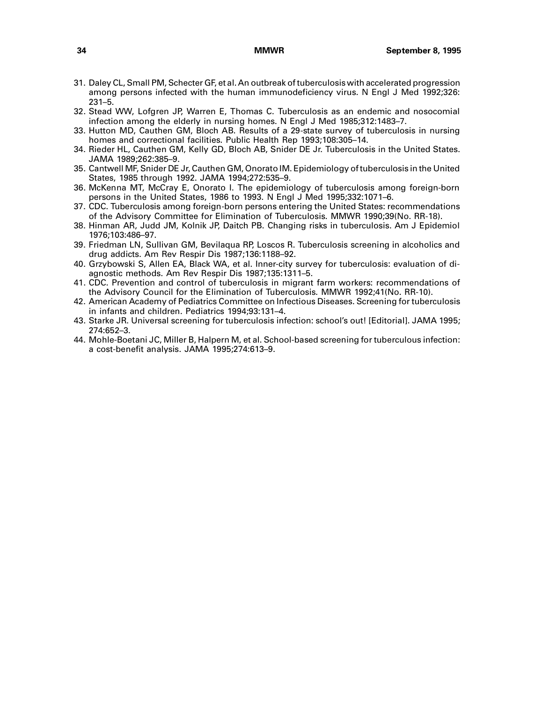- 31. Daley CL, Small PM, Schecter GF, et al. An outbreak of tuberculosis with accelerated progression among persons infected with the human immunodeficiency virus. N Engl J Med 1992;326: 231–5.
- 32. Stead WW, Lofgren JP, Warren E, Thomas C. Tuberculosis as an endemic and nosocomial infection among the elderly in nursing homes. N Engl J Med 1985;312:1483–7.
- 33. Hutton MD, Cauthen GM, Bloch AB. Results of a 29-state survey of tuberculosis in nursing homes and correctional facilities. Public Health Rep 1993;108:305–14.
- 34. Rieder HL, Cauthen GM, Kelly GD, Bloch AB, Snider DE Jr. Tuberculosis in the United States. JAMA 1989;262:385–9.
- 35. Cantwell MF, Snider DE Jr, Cauthen GM, Onorato IM. Epidemiology of tuberculosis in the United States, 1985 through 1992. JAMA 1994;272:535–9.
- 36. McKenna MT, McCray E, Onorato I. The epidemiology of tuberculosis among foreign-born persons in the United States, 1986 to 1993. N Engl J Med 1995;332:1071–6.
- 37. CDC. Tuberculosis among foreign-born persons entering the United States: recommendations of the Advisory Committee for Elimination of Tuberculosis. MMWR 1990;39(No. RR-18).
- 38. Hinman AR, Judd JM, Kolnik JP, Daitch PB. Changing risks in tuberculosis. Am J Epidemiol 1976;103:486–97.
- 39. Friedman LN, Sullivan GM, Bevilaqua RP, Loscos R. Tuberculosis screening in alcoholics and drug addicts. Am Rev Respir Dis 1987;136:1188–92.
- 40. Grzybowski S, Allen EA, Black WA, et al. Inner-city survey for tuberculosis: evaluation of diagnostic methods. Am Rev Respir Dis 1987;135:1311–5.
- 41. CDC. Prevention and control of tuberculosis in migrant farm workers: recommendations of the Advisory Council for the Elimination of Tuberculosis. MMWR 1992;41(No. RR-10).
- 42. American Academy of Pediatrics Committee on Infectious Diseases. Screening for tuberculosis in infants and children. Pediatrics 1994;93:131–4.
- 43. Starke JR. Universal screening for tuberculosis infection: school's out! [Editorial]. JAMA 1995; 274:652–3.
- 44. Mohle-Boetani JC, Miller B, Halpern M, et al. School-based screening for tuberculous infection: a cost-benefit analysis. JAMA 1995;274:613–9.